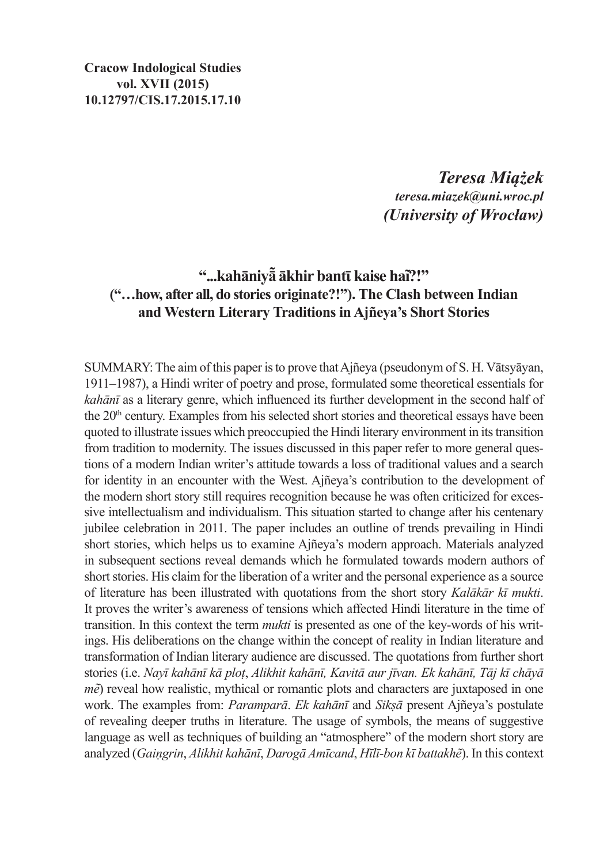*Teresa Miążek teresa.miazek@uni.wroc.pl (University of Wrocław)*

#### **"...kahāniyā͂ ākhir bantῑ kaise hai͂?!" ("…how, after all, do stories originate?!"). The Clash between Indian and Western Literary Traditions in Ajñeya's Short Stories**

SUMMARY: The aim of this paper is to prove that Ajñeya (pseudonym of S. H. Vātsyāyan, 1911–1987), a Hindi writer of poetry and prose, formulated some theoretical essentials for *kahānī* as a literary genre, which influenced its further development in the second half of the  $20<sup>th</sup>$  century. Examples from his selected short stories and theoretical essays have been quoted to illustrate issues which preoccupied the Hindi literary environment in its transition from tradition to modernity. The issues discussed in this paper refer to more general questions of a modern Indian writer's attitude towards a loss of traditional values and a search for identity in an encounter with the West. Ajñeya's contribution to the development of the modern short story still requires recognition because he was often criticized for excessive intellectualism and individualism. This situation started to change after his centenary jubilee celebration in 2011. The paper includes an outline of trends prevailing in Hindi short stories, which helps us to examine Ajñeya's modern approach. Materials analyzed in subsequent sections reveal demands which he formulated towards modern authors of short stories. His claim for the liberation of a writer and the personal experience as a source of literature has been illustrated with quotations from the short story *Kalākār kī mukti*. It proves the writer's awareness of tensions which affected Hindi literature in the time of transition. In this context the term *mukti* is presented as one of the key-words of his writings. His deliberations on the change within the concept of reality in Indian literature and transformation of Indian literary audience are discussed. The quotations from further short stories (i.e. *Nayī kahānī kā ploṭ*, *Alikhit kahānī, Kavitā aur jīvan. Ek kahānī, Tāj kī chāyā m* $\tilde{e}$ ) reveal how realistic, mythical or romantic plots and characters are juxtaposed in one work. The examples from: *Paramparā*. *Ek kahānī* and *Sikṣā* present Ajñeya's postulate of revealing deeper truths in literature. The usage of symbols, the means of suggestive language as well as techniques of building an "atmosphere" of the modern short story are analyzed (*Gaiṇgrin*, *Alikhit kahānī*, *Darogā Amīcand*, *Hīlī-bon kī battakhẽ*). In this context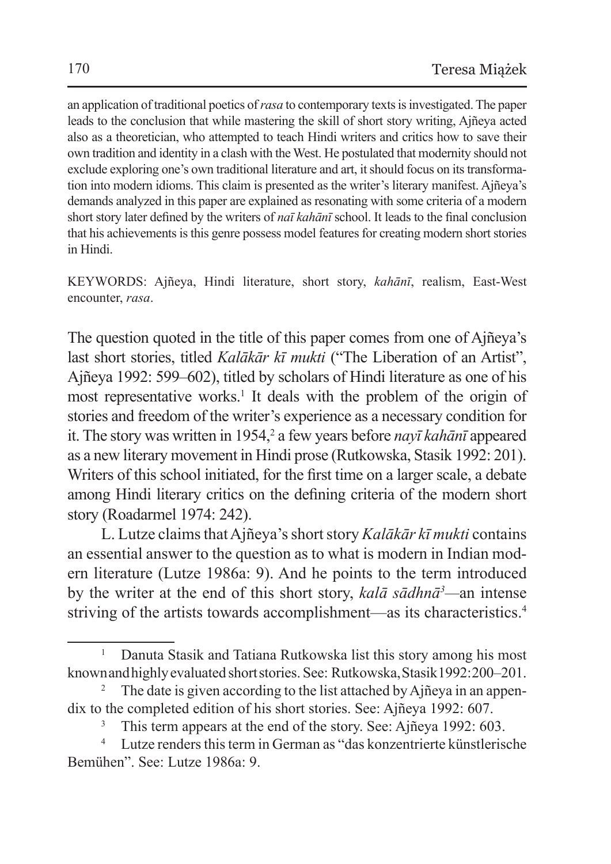an application of traditional poetics of *rasa* to contemporary texts isinvestigated. The paper leads to the conclusion that while mastering the skill of short story writing, Ajñeya acted also as a theoretician, who attempted to teach Hindi writers and critics how to save their own tradition and identity in a clash with theWest. He postulated that modernity should not exclude exploring one's own traditional literature and art, it should focus on its transformation into modern idioms. This claim is presented as the writer's literary manifest. Ajñeya's demands analyzed in this paper are explained as resonating with some criteria of a modern short story later defined by the writers of *naī kahānī* school. It leads to the final conclusion that his achievements isthis genre possess model features for creating modern short stories in Hindi.

KEYWORDS: Ajñeya, Hindi literature, short story, *kahānī*, realism, East-West encounter, *rasa*.

The question quoted in the title of this paper comes from one of Ajñeya's last short stories, titled *Kalākār kī mukti* ("The Liberation of an Artist", Ajñeya 1992: 599–602), titled by scholars of Hindi literature as one of his most representative works.<sup>1</sup> It deals with the problem of the origin of stories and freedom of the writer's experience as a necessary condition for it. The story was written in 1954,<sup>2</sup> a few years before *nayī kahānī* appeared as a new literary movement in Hindi prose (Rutkowska, Stasik 1992: 201). Writers of this school initiated, for the first time on a larger scale, a debate among Hindi literary critics on the defining criteria of the modern short story (Roadarmel 1974: 242).

L. Lutze claims that Ajñeya's short story *Kalākār kī mukti* contains an essential answer to the question as to what is modern in Indian modern literature (Lutze 1986a: 9). And he points to the term introduced by the writer at the end of this short story, *kalā sādhnā<sup>3</sup> —*an intense striving of the artists towards accomplishment—as its characteristics.4

<sup>&</sup>lt;sup>1</sup> Danuta Stasik and Tatiana Rutkowska list this story among his most known and highly evaluated short stories. See: Rutkowska, Stasik 1992:200–201.

<sup>2</sup> The date is given according to the list attached by Ajñeya in an appendix to the completed edition of his short stories. See: Ajñeya 1992: 607.

<sup>&</sup>lt;sup>3</sup> This term appears at the end of the story. See: Ajñeya 1992: 603.<br><sup>4</sup> Lutze renders this term in German as "das konzentrierte künstlerische

Bemühen". See: Lutze 1986a: 9.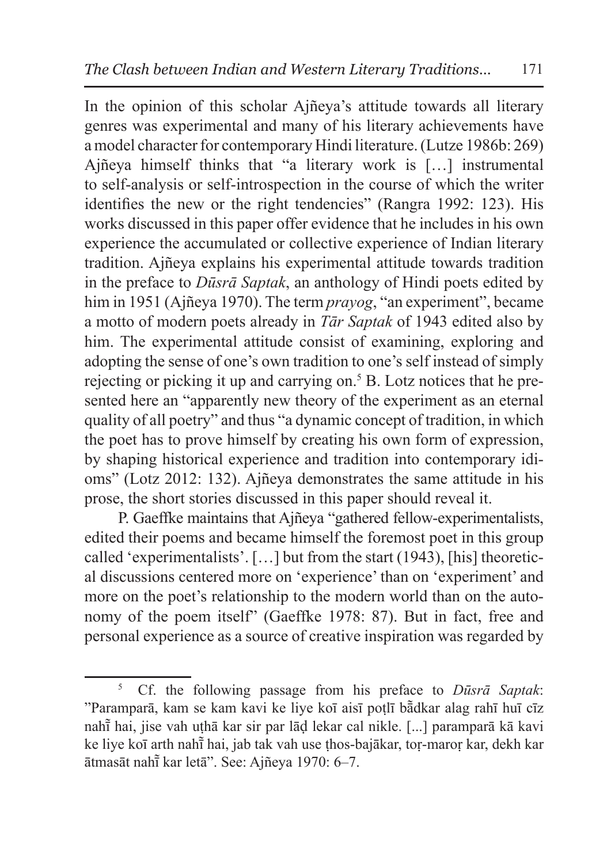In the opinion of this scholar Ajñeya's attitude towards all literary genres was experimental and many of his literary achievements have a model character for contemporary Hindi literature. (Lutze 1986b: 269) Ajñeya himself thinks that "a literary work is […] instrumental to self-analysis or self-introspection in the course of which the writer identifies the new or the right tendencies" (Rangra 1992: 123). His works discussed in this paper offer evidence that he includes in his own experience the accumulated or collective experience of Indian literary tradition. Ajñeya explains his experimental attitude towards tradition in the preface to *Dūsrā Saptak*, an anthology of Hindi poets edited by him in 1951 (Ajñeya 1970). The term *prayog*, "an experiment", became a motto of modern poets already in *Tār Saptak* of 1943 edited also by him. The experimental attitude consist of examining, exploring and adopting the sense of one's own tradition to one's self instead of simply rejecting or picking it up and carrying on.5 B. Lotz notices that he presented here an "apparently new theory of the experiment as an eternal quality of all poetry" and thus "a dynamic concept of tradition, in which the poet has to prove himself by creating his own form of expression, by shaping historical experience and tradition into contemporary idioms" (Lotz 2012: 132). Ajñeya demonstrates the same attitude in his prose, the short stories discussed in this paper should reveal it.

P. Gaeffke maintains that Ajñeya "gathered fellow-experimentalists, edited their poems and became himself the foremost poet in this group called 'experimentalists'. […] but from the start (1943), [his] theoretical discussions centered more on 'experience' than on 'experiment' and more on the poet's relationship to the modern world than on the autonomy of the poem itself" (Gaeffke 1978: 87). But in fact, free and personal experience as a source of creative inspiration was regarded by

<sup>5</sup> Cf. the following passage from his preface to *Dūsrā Saptak*: "Paramparā, kam se kam kavi ke liye koī aisī poṭlī bā̃ dkar alag rahī huī cīz nahī hai, jise vah uṭhā kar sir par lāḍ lekar cal nikle. [...] paramparā kā kavi ke liye koī arth nahī hai, jab tak vah use ṭhos-bajākar, toṛ-maroṛ kar, dekh kar ātmasāt nahī kar letā". See: ̃ Ajñeya 1970: 6–7.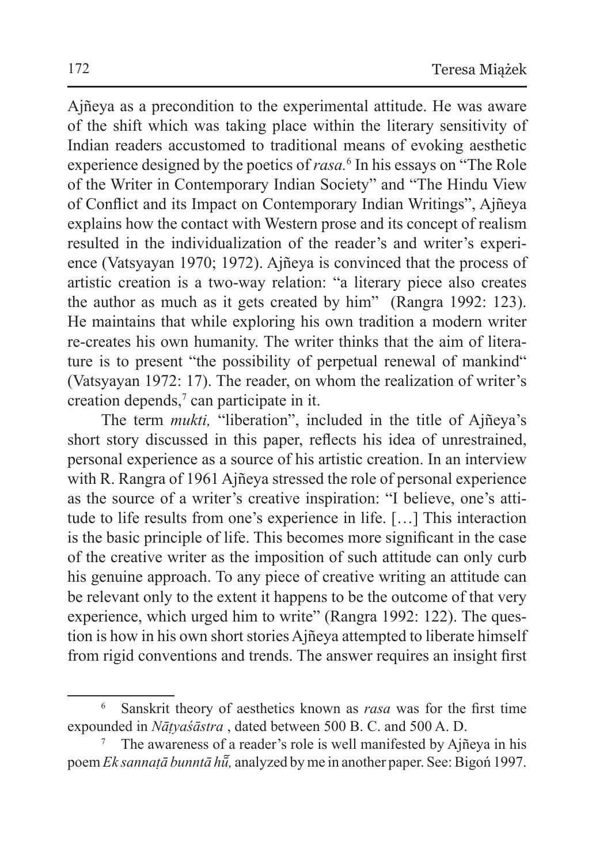Ajñeya as a precondition to the experimental attitude. He was aware of the shift which was taking place within the literary sensitivity of Indian readers accustomed to traditional means of evoking aesthetic experience designed by the poetics of *rasa.*<sup>6</sup> In his essays on "The Role of the Writer in Contemporary Indian Society" and "The Hindu View of Conflict and its Impact on Contemporary Indian Writings", Ajñeya explains how the contact with Western prose and its concept of realism resulted in the individualization of the reader's and writer's experience (Vatsyayan 1970; 1972). Ajñeya is convinced that the process of artistic creation is a two-way relation: "a literary piece also creates the author as much as it gets created by him" (Rangra 1992: 123). He maintains that while exploring his own tradition a modern writer re-creates his own humanity. The writer thinks that the aim of literature is to present "the possibility of perpetual renewal of mankind" (Vatsyayan 1972: 17). The reader, on whom the realization of writer's creation depends,<sup>7</sup> can participate in it.

The term *mukti,* "liberation", included in the title of Ajñeya's short story discussed in this paper, reflects his idea of unrestrained, personal experience as a source of his artistic creation. In an interview with R. Rangra of 1961 Ajñeya stressed the role of personal experience as the source of a writer's creative inspiration: "I believe, one's attitude to life results from one's experience in life. […] This interaction is the basic principle of life. This becomes more significant in the case of the creative writer as the imposition of such attitude can only curb his genuine approach. To any piece of creative writing an attitude can be relevant only to the extent it happens to be the outcome of that very experience, which urged him to write" (Rangra 1992: 122). The question is how in his own short stories Ajñeya attempted to liberate himself from rigid conventions and trends. The answer requires an insight first

<sup>6</sup> Sanskrit theory of aesthetics known as *rasa* was for the first time expounded in *Nāṭyaśāstra* , dated between 500 B. C. and 500 A. D.

<sup>7</sup> The awareness of a reader's role is well manifested by Ajñeya in his poem *Ek sannatā bunntā hū̃*, analyzed by me in another paper. See: Bigoń 1997.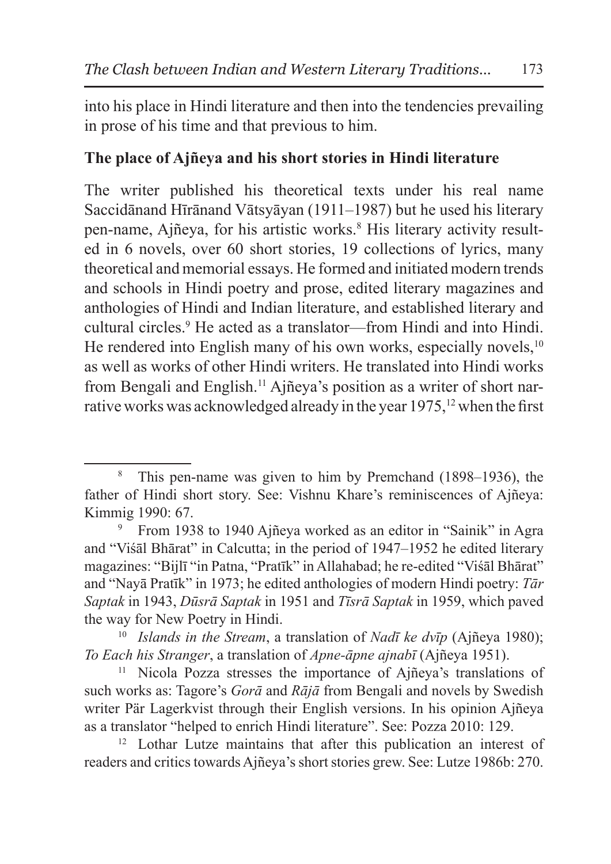into his place in Hindi literature and then into the tendencies prevailing in prose of his time and that previous to him.

#### **The place of Ajñeya and his short stories in Hindi literature**

The writer published his theoretical texts under his real name Saccidānand Hīrānand Vātsyāyan (1911–1987) but he used his literary pen-name, Ajñeya, for his artistic works.<sup>8</sup> His literary activity resulted in 6 novels, over 60 short stories, 19 collections of lyrics, many theoretical and memorial essays. He formed and initiated modern trends and schools in Hindi poetry and prose, edited literary magazines and anthologies of Hindi and Indian literature, and established literary and cultural circles.9 He acted as a translator—from Hindi and into Hindi. He rendered into English many of his own works, especially novels, $10<sup>10</sup>$ as well as works of other Hindi writers. He translated into Hindi works from Bengali and English.11 Ajñeya's position as a writer of short narrative works was acknowledged already in the year 1975,<sup>12</sup> when the first

<sup>8</sup> This pen-name was given to him by Premchand (1898–1936), the father of Hindi short story. See: Vishnu Khare's reminiscences of Ajñeya: Kimmig 1990: 67.

<sup>9</sup> From 1938 to 1940 Ajñeya worked as an editor in "Sainik" in Agra and "Viśāl Bhārat" in Calcutta; in the period of 1947–1952 he edited literary magazines: "Bijlī "in Patna, "Pratīk" in Allahabad; he re-edited "Viśāl Bhārat" and "Nayā Pratīk" in 1973; he edited anthologies of modern Hindi poetry: *Tār Saptak* in 1943, *Dūsrā Saptak* in 1951 and *Tīsrā Saptak* in 1959, which paved

<sup>&</sup>lt;sup>10</sup> *Islands in the Stream*, a translation of *Nadī ke dvīp* (Ajñeya 1980); *To Each his Stranger*, a translation of *Apne-āpne ajnabī* (Ajñeya 1951).

<sup>11</sup> Nicola Pozza stresses the importance of Ajñeya's translations of such works as: Tagore's *Gorā* and *Rājā* from Bengali and novels by Swedish writer Pär Lagerkvist through their English versions. In his opinion Ajñeya as a translator "helped to enrich Hindi literature". See: Pozza 2010: 129.

<sup>&</sup>lt;sup>12</sup> Lothar Lutze maintains that after this publication an interest of readers and critics towards Ajñeya's short stories grew. See: Lutze 1986b: 270.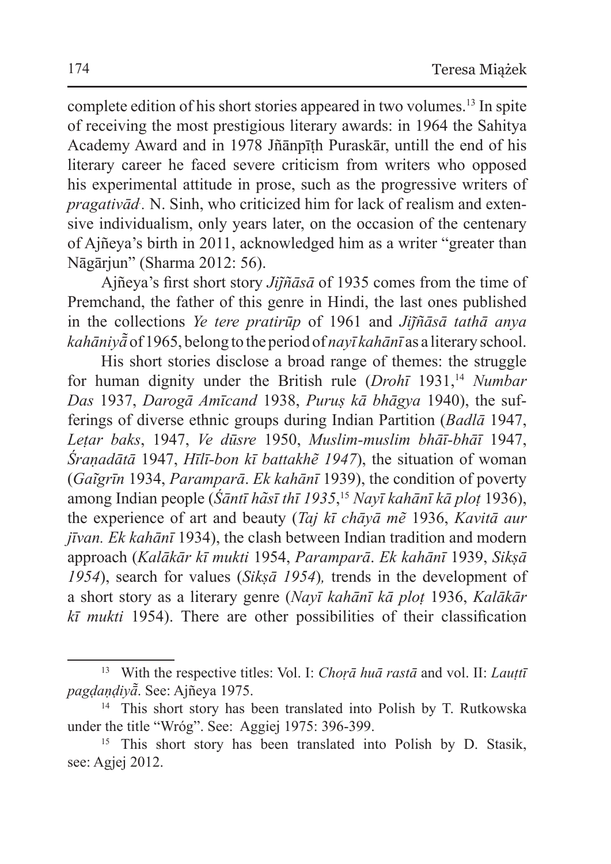complete edition of his short stories appeared in two volumes.13 In spite of receiving the most prestigious literary awards: in 1964 the Sahitya Academy Award and in 1978 Jñānpīṭh Puraskār, untill the end of his literary career he faced severe criticism from writers who opposed his experimental attitude in prose, such as the progressive writers of *pragativād*. N. Sinh, who criticized him for lack of realism and extensive individualism, only years later, on the occasion of the centenary of Ajñeya's birth in 2011, acknowledged him as a writer "greater than Nāgārjun" (Sharma 2012: 56).

Ajñeya's first short story *Jij͂ñāsā* of 1935 comes from the time of Premchand, the father of this genre in Hindi, the last ones published in the collections *Ye tere pratirūp* of 1961 and *Jij͂ñāsā tathā anya kahāniyā͂*of 1965, belong to the period of *nayī kahānī* as a literary school.

His short stories disclose a broad range of themes: the struggle for human dignity under the British rule (*Drohī* 1931,14 *Numbar Das* 1937, *Darogā Amīcand* 1938, *Puruṣ kā bhāgya* 1940), the sufferings of diverse ethnic groups during Indian Partition (*Badlā* 1947, *Leṭar baks*, 1947, *Ve dūsre* 1950, *Muslim-muslim bhāī-bhāī* 1947, *Śraṇadātā* 1947, *Hīlī-bon kī battakhẽ 1947*), the situation of woman (*Gai͂grīn* 1934, *Paramparā*. *Ek kahānī* 1939), the condition of poverty among Indian people (*Śāntī ha͂sī thī 1935*, <sup>15</sup> *Nayī kahānī kā ploṭ* 1936), the experience of art and beauty (*Taj kī chāyā mẽ* 1936, *Kavitā aur jīvan. Ek kahānī* 1934), the clash between Indian tradition and modern approach (*Kalākār kī mukti* 1954, *Paramparā*. *Ek kahānī* 1939, *Sikṣā 1954*), search for values (*Sikṣā 1954*)*,* trends in the development of a short story as a literary genre (*Nayī kahānī kā ploṭ* 1936, *Kalākār kī mukti* 1954). There are other possibilities of their classification

<sup>13</sup> With the respective titles: Vol. I: *Choṛā huā rastā* and vol. II: *Lauṭtī pagḍaṇḍiyā͂*. See: Ajñeya 1975.

<sup>14</sup> This short story has been translated into Polish by T. Rutkowska under the title "Wróg". See: Aggiej 1975: 396-399.

<sup>&</sup>lt;sup>15</sup> This short story has been translated into Polish by D. Stasik, see: Agiej 2012.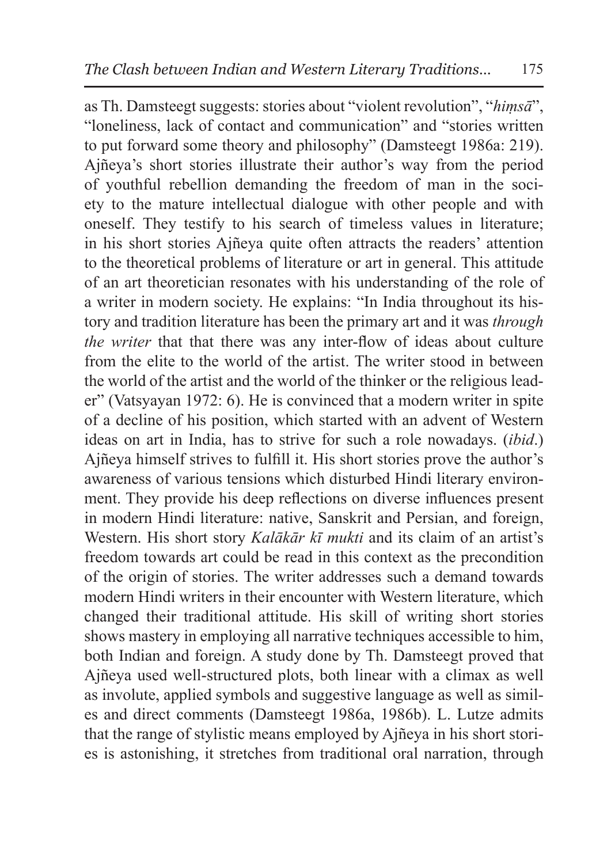as Th. Damsteegt suggests: stories about "violent revolution", "*hiṃsā*", "loneliness, lack of contact and communication" and "stories written to put forward some theory and philosophy" (Damsteegt 1986a: 219). Ajñeya's short stories illustrate their author's way from the period of youthful rebellion demanding the freedom of man in the society to the mature intellectual dialogue with other people and with oneself. They testify to his search of timeless values in literature; in his short stories Ajñeya quite often attracts the readers' attention to the theoretical problems of literature or art in general. This attitude of an art theoretician resonates with his understanding of the role of a writer in modern society. He explains: "In India throughout its history and tradition literature has been the primary art and it was *through the writer* that that there was any inter-flow of ideas about culture from the elite to the world of the artist. The writer stood in between the world of the artist and the world of the thinker or the religious leader" (Vatsyayan 1972: 6). He is convinced that a modern writer in spite of a decline of his position, which started with an advent of Western ideas on art in India, has to strive for such a role nowadays. (*ibid*.) Ajñeya himself strives to fulfill it. His short stories prove the author's awareness of various tensions which disturbed Hindi literary environment. They provide his deep reflections on diverse influences present in modern Hindi literature: native, Sanskrit and Persian, and foreign, Western. His short story *Kalākār kī mukti* and its claim of an artist's freedom towards art could be read in this context as the precondition of the origin of stories. The writer addresses such a demand towards modern Hindi writers in their encounter with Western literature, which changed their traditional attitude. His skill of writing short stories shows mastery in employing all narrative techniques accessible to him, both Indian and foreign. A study done by Th. Damsteegt proved that Ajñeya used well-structured plots, both linear with a climax as well as involute, applied symbols and suggestive language as well as similes and direct comments (Damsteegt 1986a, 1986b). L. Lutze admits that the range of stylistic means employed by Ajñeya in his short stories is astonishing, it stretches from traditional oral narration, through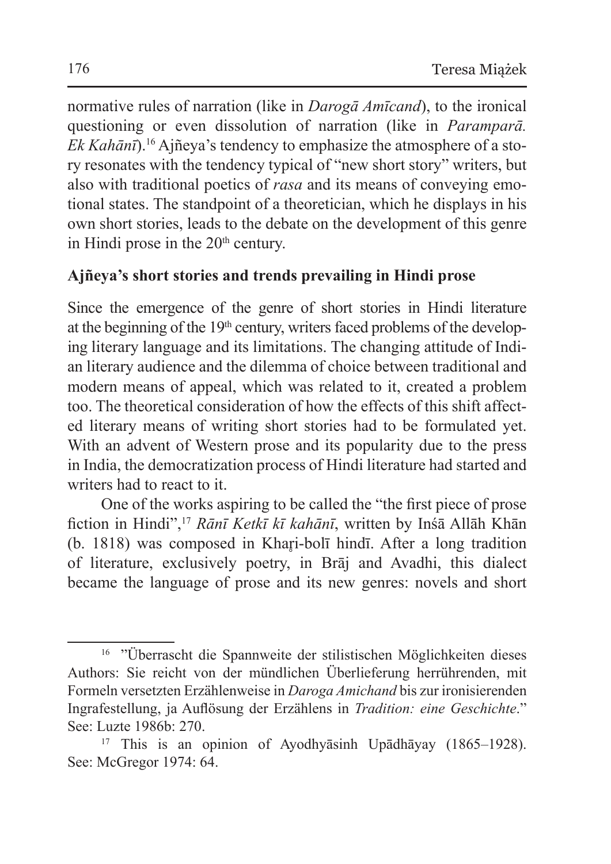normative rules of narration (like in *Darogā Amīcand*), to the ironical questioning or even dissolution of narration (like in *Paramparā. Ek Kahānī*).16 Ajñeya's tendency to emphasize the atmosphere of a story resonates with the tendency typical of "new short story" writers, but also with traditional poetics of *rasa* and its means of conveying emotional states. The standpoint of a theoretician, which he displays in his own short stories, leads to the debate on the development of this genre in Hindi prose in the 20<sup>th</sup> century.

# **Ajñeya's short stories and trends prevailing in Hindi prose**

Since the emergence of the genre of short stories in Hindi literature at the beginning of the 19<sup>th</sup> century, writers faced problems of the developing literary language and its limitations. The changing attitude of Indian literary audience and the dilemma of choice between traditional and modern means of appeal, which was related to it, created a problem too. The theoretical consideration of how the effects of this shift affected literary means of writing short stories had to be formulated yet. With an advent of Western prose and its popularity due to the press in India, the democratization process of Hindi literature had started and writers had to react to it.

One of the works aspiring to be called the "the first piece of prose fiction in Hindi",<sup>17</sup> *Rānī Ketkī kī kahānī*, written by Inśā Allāh Khān (b. 1818) was composed in Khari-bolī hindī. After a long tradition of literature, exclusively poetry, in Brāj and Avadhi, this dialect became the language of prose and its new genres: novels and short

<sup>&</sup>lt;sup>16</sup> "Überrascht die Spannweite der stilistischen Möglichkeiten dieses Authors: Sie reicht von der mündlichen Überlieferung herrührenden, mit Formeln versetzten Erzählenweise in *Daroga Amichand* bis zur ironisierenden Ingrafestellung, ja Auflösung der Erzählens in *Tradition: eine Geschichte*." See: Luzte 1986b: 270.

<sup>17</sup> This is an opinion of Ayodhyāsinh Upādhāyay (1865–1928). See: McGregor 1974: 64.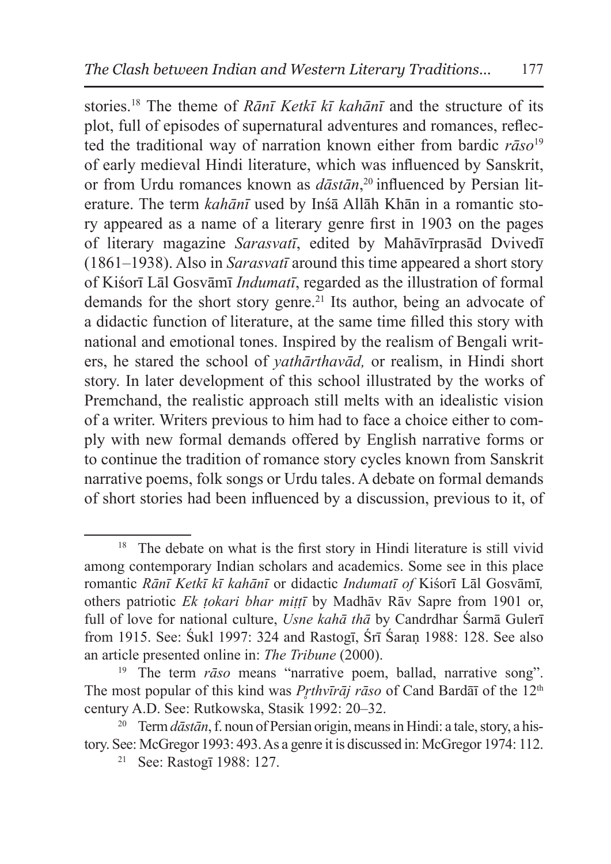stories.18 The theme of *Rānī Ketkī kī kahānī* and the structure of its plot, full of episodes of supernatural adventures and romances, reflected the traditional way of narration known either from bardic *rāso*<sup>19</sup> of early medieval Hindi literature, which was influenced by Sanskrit, or from Urdu romances known as *dāstān*, 20 influenced by Persian literature. The term *kahānī* used by Inśā Allāh Khān in a romantic story appeared as a name of a literary genre first in 1903 on the pages of literary magazine *Sarasvatī*, edited by Mahāvīrprasād Dvivedī (1861–1938). Also in *Sarasvatī* around this time appeared a short story of Kiśorī Lāl Gosvāmī *Indumatī*, regarded as the illustration of formal demands for the short story genre.<sup>21</sup> Its author, being an advocate of a didactic function of literature, at the same time filled this story with national and emotional tones. Inspired by the realism of Bengali writers, he stared the school of *yathārthavād,* or realism, in Hindi short story. In later development of this school illustrated by the works of Premchand, the realistic approach still melts with an idealistic vision of a writer. Writers previous to him had to face a choice either to comply with new formal demands offered by English narrative forms or to continue the tradition of romance story cycles known from Sanskrit narrative poems, folk songs or Urdu tales. A debate on formal demands of short stories had been influenced by a discussion, previous to it, of

<sup>&</sup>lt;sup>18</sup> The debate on what is the first story in Hindi literature is still vivid among contemporary Indian scholars and academics. Some see in this place romantic *Rānī Ketkī kī kahānī* or didactic *Indumatī of* Kiśorī Lāl Gosvāmī*,*  others patriotic *Ek ṭokari bhar miṭṭī* by Madhāv Rāv Sapre from 1901 or, full of love for national culture, *Usne kahā thā* by Candrdhar Śarmā Gulerī from 1915. See: Śukl 1997: 324 and Rastogī, Śrī Śaraṇ 1988: 128. See also an article presented online in: *The Tribune* (2000).

<sup>19</sup> The term *rāso* means "narrative poem, ballad, narrative song". The most popular of this kind was *Prthvīrāj rāso* of Cand Bardāī of the 12<sup>th</sup> century A.D. See: Rutkowska, Stasik 1992: 20–32.

<sup>20</sup> Term *dāstān*, f. noun of Persian origin, means in Hindi: a tale, story, a history. See: McGregor 1993: 493. As a genre it is discussed in: McGregor 1974: 112.

<sup>21</sup> See: Rastogī 1988: 127.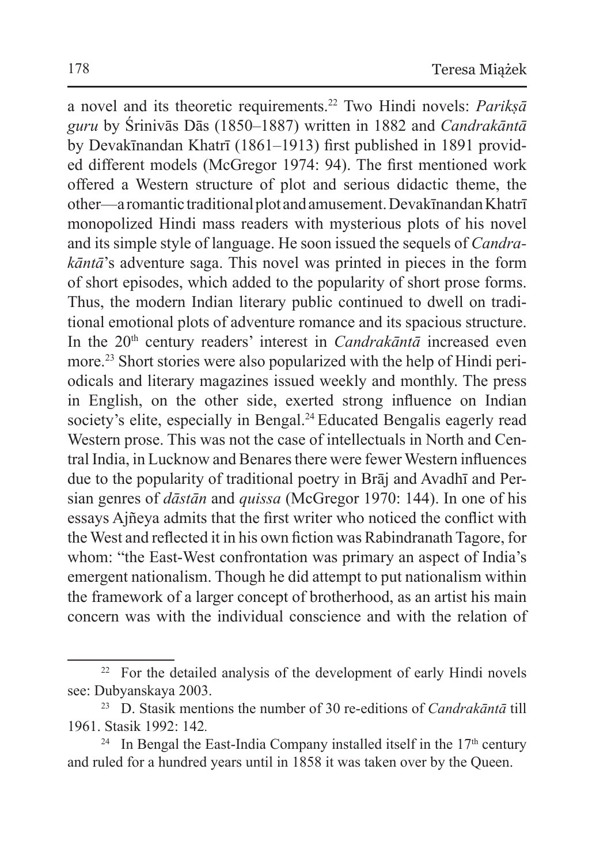a novel and its theoretic requirements.22 Two Hindi novels: *Parikṣā guru* by Śrinivās Dās (1850–1887) written in 1882 and *Candrakāntā* by Devakīnandan Khatrī (1861–1913) first published in 1891 provided different models (McGregor 1974: 94). The first mentioned work offered a Western structure of plot and serious didactic theme, the other—a romantic traditional plot and amusement. DevakīnandanKhatrī monopolized Hindi mass readers with mysterious plots of his novel and its simple style of language. He soon issued the sequels of *Candrakāntā*'s adventure saga. This novel was printed in pieces in the form of short episodes, which added to the popularity of short prose forms. Thus, the modern Indian literary public continued to dwell on traditional emotional plots of adventure romance and its spacious structure. In the 20<sup>th</sup> century readers' interest in *Candrakāntā* increased even more.23 Short stories were also popularized with the help of Hindi periodicals and literary magazines issued weekly and monthly. The press in English, on the other side, exerted strong influence on Indian society's elite, especially in Bengal.<sup>24</sup> Educated Bengalis eagerly read Western prose. This was not the case of intellectuals in North and Central India, in Lucknow and Benares there were fewer Western influences due to the popularity of traditional poetry in Brāj and Avadhī and Persian genres of *dāstān* and *quissa* (McGregor 1970: 144). In one of his essays Ajñeya admits that the first writer who noticed the conflict with the West and reflected it in his own fiction was Rabindranath Tagore, for whom: "the East-West confrontation was primary an aspect of India's emergent nationalism. Though he did attempt to put nationalism within the framework of a larger concept of brotherhood, as an artist his main concern was with the individual conscience and with the relation of

<sup>&</sup>lt;sup>22</sup> For the detailed analysis of the development of early Hindi novels see: Dubyanskaya 2003.

<sup>23</sup> D. Stasik mentions the number of 30 re-editions of *Candrakāntā* till 1961. Stasik 1992: 142*.*

<sup>&</sup>lt;sup>24</sup> In Bengal the East-India Company installed itself in the  $17<sup>th</sup>$  century and ruled for a hundred years until in 1858 it was taken over by the Queen.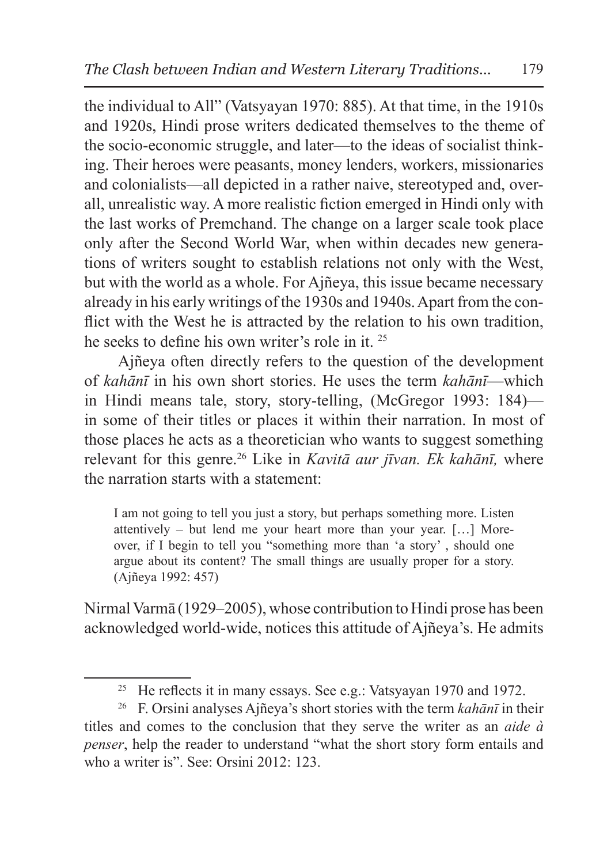the individual to All" (Vatsyayan 1970: 885). At that time, in the 1910s and 1920s, Hindi prose writers dedicated themselves to the theme of the socio-economic struggle, and later—to the ideas of socialist thinking. Their heroes were peasants, money lenders, workers, missionaries and colonialists—all depicted in a rather naive, stereotyped and, overall, unrealistic way. A more realistic fiction emerged in Hindi only with the last works of Premchand. The change on a larger scale took place only after the Second World War, when within decades new generations of writers sought to establish relations not only with the West, but with the world as a whole. For Ajñeya, this issue became necessary already in his early writings of the 1930s and 1940s. Apart from the conflict with the West he is attracted by the relation to his own tradition, he seeks to define his own writer's role in it. <sup>25</sup>

Ajñeya often directly refers to the question of the development of *kahānī* in his own short stories. He uses the term *kahānī*—which in Hindi means tale, story, story-telling, (McGregor 1993: 184) in some of their titles or places it within their narration. In most of those places he acts as a theoretician who wants to suggest something relevant for this genre.26 Like in *Kavitā aur jīvan. Ek kahānī,* where the narration starts with a statement:

I am not going to tell you just a story, but perhaps something more. Listen attentively – but lend me your heart more than your year. […] Moreover, if I begin to tell you "something more than 'a story' , should one argue about its content? The small things are usually proper for a story. (Ajñeya 1992: 457)

Nirmal Varmā (1929–2005), whose contribution to Hindi prose has been acknowledged world-wide, notices this attitude of Ajñeya's. He admits

<sup>&</sup>lt;sup>25</sup> He reflects it in many essays. See e.g.: Vatsyayan 1970 and 1972.

<sup>26</sup> F. Orsini analyses Ajñeya's short stories with the term *kahānī* in their titles and comes to the conclusion that they serve the writer as an *aide à penser*, help the reader to understand "what the short story form entails and who a writer is". See: Orsini 2012: 123.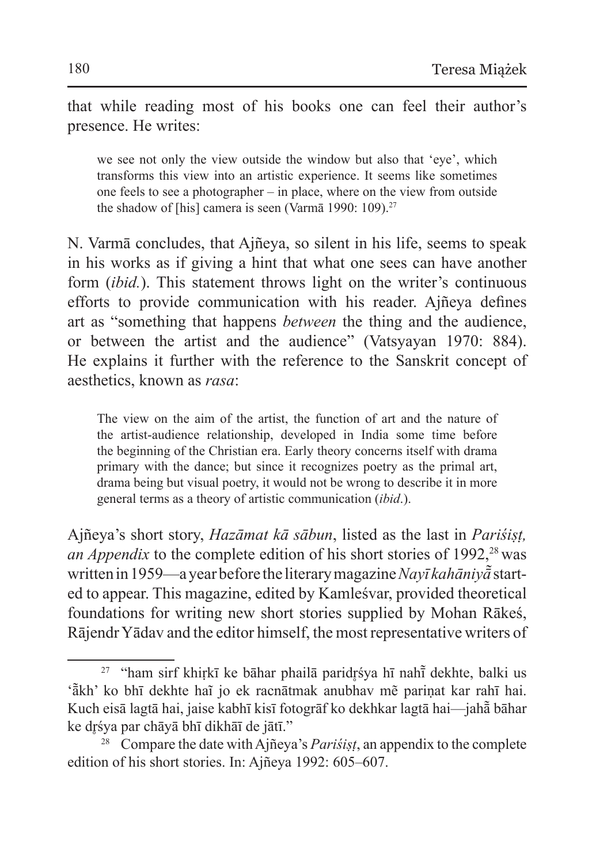that while reading most of his books one can feel their author's presence. He writes:

we see not only the view outside the window but also that 'eye', which transforms this view into an artistic experience. It seems like sometimes one feels to see a photographer – in place, where on the view from outside the shadow of [his] camera is seen (Varmā 1990: 109).<sup>27</sup>

N. Varmā concludes, that Ajñeya, so silent in his life, seems to speak in his works as if giving a hint that what one sees can have another form (*ibid.*). This statement throws light on the writer's continuous efforts to provide communication with his reader. Ajñeya defines art as "something that happens *between* the thing and the audience, or between the artist and the audience" (Vatsyayan 1970: 884). He explains it further with the reference to the Sanskrit concept of aesthetics, known as *rasa*:

The view on the aim of the artist, the function of art and the nature of the artist-audience relationship, developed in India some time before the beginning of the Christian era. Early theory concerns itself with drama primary with the dance; but since it recognizes poetry as the primal art, drama being but visual poetry, it would not be wrong to describe it in more general terms as a theory of artistic communication (*ibid*.).

Ajñeya's short story, *Hazāmat kā sābun*, listed as the last in *Pariśiṣṭ, an Appendix* to the complete edition of his short stories of 1992,<sup>28</sup> was written in1959—ayear before the literary magazine *Nayī kahāniyā͂* started to appear. This magazine, edited by Kamleśvar, provided theoretical foundations for writing new short stories supplied by Mohan Rākeś, Rājendr Yādav and the editor himself, the most representative writers of

 $27$  "ham sirf khiṛkī ke bāhar phailā paridr̥śya hī nahī dekhte, balki us 'ā̃ kh' ko bhī dekhte haĩ jo ek racnātmak anubhav mẽ pariṇat kar rahī hai. Kuch eisā lagtā hai, jaise kabhī kisī fotogrāf ko dekhkar lagtā hai—jahā̃ bāhar ke dr̥śya par chāyā bhī dikhāī de jātī."

<sup>28</sup> Compare the date with Ajñeya's *Pariśiṣṭ*, an appendix to the complete edition of his short stories. In: Ajñeya 1992: 605–607.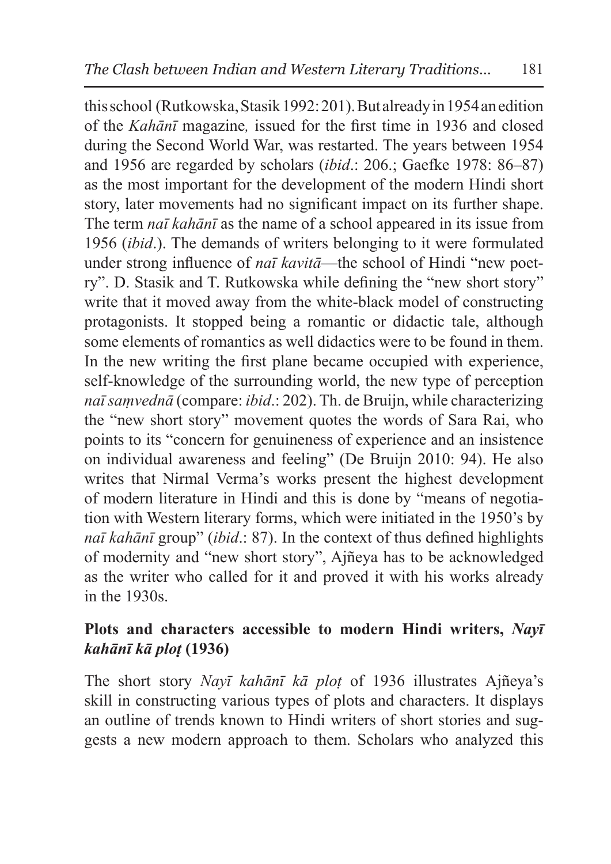this school (Rutkowska, Stasik 1992:201). But already in1954 anedition of the *Kahānī* magazine*,* issued for the first time in 1936 and closed during the Second World War, was restarted. The years between 1954 and 1956 are regarded by scholars (*ibid*.: 206.; Gaefke 1978: 86–87) as the most important for the development of the modern Hindi short story, later movements had no significant impact on its further shape. The term *naī kahānī* as the name of a school appeared in its issue from 1956 (*ibid*.). The demands of writers belonging to it were formulated under strong influence of *naī kavitā*—the school of Hindi "new poetry". D. Stasik and T. Rutkowska while defining the "new short story" write that it moved away from the white-black model of constructing protagonists. It stopped being a romantic or didactic tale, although some elements of romantics as well didactics were to be found in them. In the new writing the first plane became occupied with experience, self-knowledge of the surrounding world, the new type of perception *naī saṃvednā* (compare: *ibid*.: 202). Th. de Bruijn, while characterizing the "new short story" movement quotes the words of Sara Rai, who points to its "concern for genuineness of experience and an insistence on individual awareness and feeling" (De Bruijn 2010: 94). He also writes that Nirmal Verma's works present the highest development of modern literature in Hindi and this is done by "means of negotiation with Western literary forms, which were initiated in the 1950's by *naī kahānī* group" (*ibid*.: 87). In the context of thus defined highlights of modernity and "new short story", Ajñeya has to be acknowledged as the writer who called for it and proved it with his works already in the 1930s.

# **Plots and characters accessible to modern Hindi writers,** *Nayī kahānī kā ploṭ* **(1936)**

The short story *Nayī kahānī kā ploṭ* of 1936 illustrates Ajñeya's skill in constructing various types of plots and characters. It displays an outline of trends known to Hindi writers of short stories and suggests a new modern approach to them. Scholars who analyzed this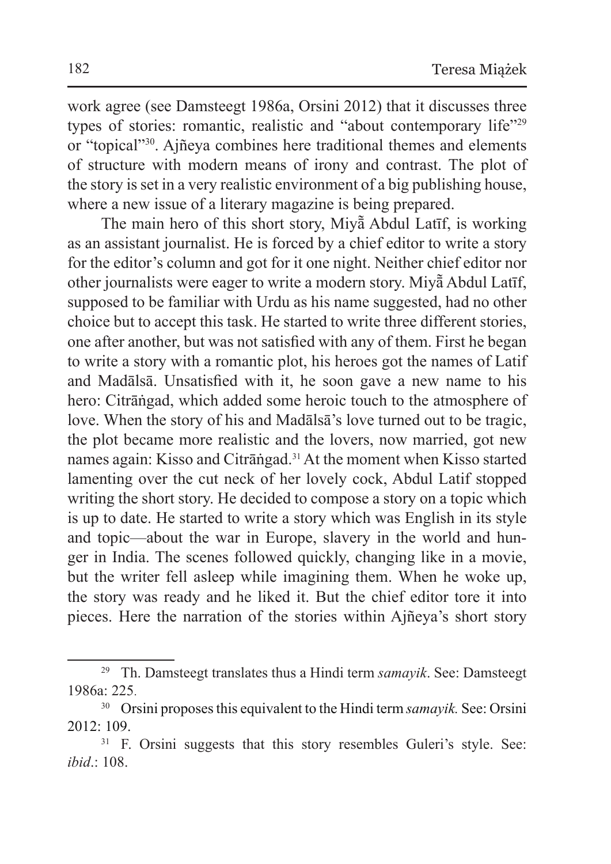work agree (see Damsteegt 1986a, Orsini 2012) that it discusses three types of stories: romantic, realistic and "about contemporary life"29 or "topical"30. Ajñeya combines here traditional themes and elements of structure with modern means of irony and contrast. The plot of the story isset in a very realistic environment of a big publishing house, where a new issue of a literary magazine is being prepared.

The main hero of this short story, Miyā͂ Abdul Latīf, is working as an assistant journalist. He is forced by a chief editor to write a story for the editor's column and got for it one night. Neither chief editor nor other journalists were eager to write a modern story. Miyā͂Abdul Latīf, supposed to be familiar with Urdu as his name suggested, had no other choice but to accept this task. He started to write three different stories, one after another, but was not satisfied with any of them. First he began to write a story with a romantic plot, his heroes got the names of Latif and Madālsā. Unsatisfied with it, he soon gave a new name to his hero: Citrāṅgad, which added some heroic touch to the atmosphere of love. When the story of his and Madālsā's love turned out to be tragic, the plot became more realistic and the lovers, now married, got new names again: Kisso and Citrāṅgad.31 At the moment when Kisso started lamenting over the cut neck of her lovely cock, Abdul Latif stopped writing the short story. He decided to compose a story on a topic which is up to date. He started to write a story which was English in its style and topic—about the war in Europe, slavery in the world and hunger in India. The scenes followed quickly, changing like in a movie, but the writer fell asleep while imagining them. When he woke up, the story was ready and he liked it. But the chief editor tore it into pieces. Here the narration of the stories within Ajñeya's short story

<sup>29</sup> Th. Damsteegt translates thus a Hindi term *samayik*. See: Damsteegt 1986a: 225.

<sup>30</sup> Orsini proposes this equivalent to the Hindi term *samayik.* See: Orsini 2012: 109.

<sup>&</sup>lt;sup>31</sup> F. Orsini suggests that this story resembles Guleri's style. See: *ibid*.: 108.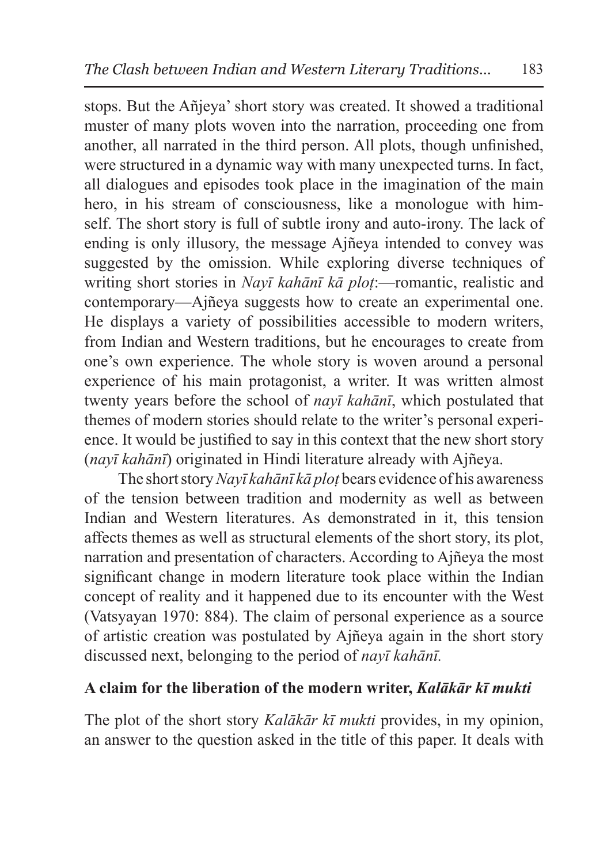stops. But the Añjeya' short story was created. It showed a traditional muster of many plots woven into the narration, proceeding one from another, all narrated in the third person. All plots, though unfinished, were structured in a dynamic way with many unexpected turns. In fact, all dialogues and episodes took place in the imagination of the main hero, in his stream of consciousness, like a monologue with himself. The short story is full of subtle irony and auto-irony. The lack of ending is only illusory, the message Ajñeya intended to convey was suggested by the omission. While exploring diverse techniques of writing short stories in *Nayī kahānī kā ploṭ*:—romantic, realistic and contemporary—Ajñeya suggests how to create an experimental one. He displays a variety of possibilities accessible to modern writers, from Indian and Western traditions, but he encourages to create from one's own experience. The whole story is woven around a personal experience of his main protagonist, a writer. It was written almost twenty years before the school of *nayī kahānī*, which postulated that themes of modern stories should relate to the writer's personal experience. It would be justified to say in this context that the new short story (*nayī kahānī*) originated in Hindi literature already with Ajñeya.

The short story *Nayī kahānī kā ploṭ* bears evidence of his awareness of the tension between tradition and modernity as well as between Indian and Western literatures. As demonstrated in it, this tension affects themes as well as structural elements of the short story, its plot, narration and presentation of characters. According to Ajñeya the most significant change in modern literature took place within the Indian concept of reality and it happened due to its encounter with the West (Vatsyayan 1970: 884). The claim of personal experience as a source of artistic creation was postulated by Ajñeya again in the short story discussed next, belonging to the period of *nayī kahānī.*

### **A claim for the liberation of the modern writer,** *Kalākār kī mukti*

The plot of the short story *Kalākār kī mukti* provides, in my opinion, an answer to the question asked in the title of this paper. It deals with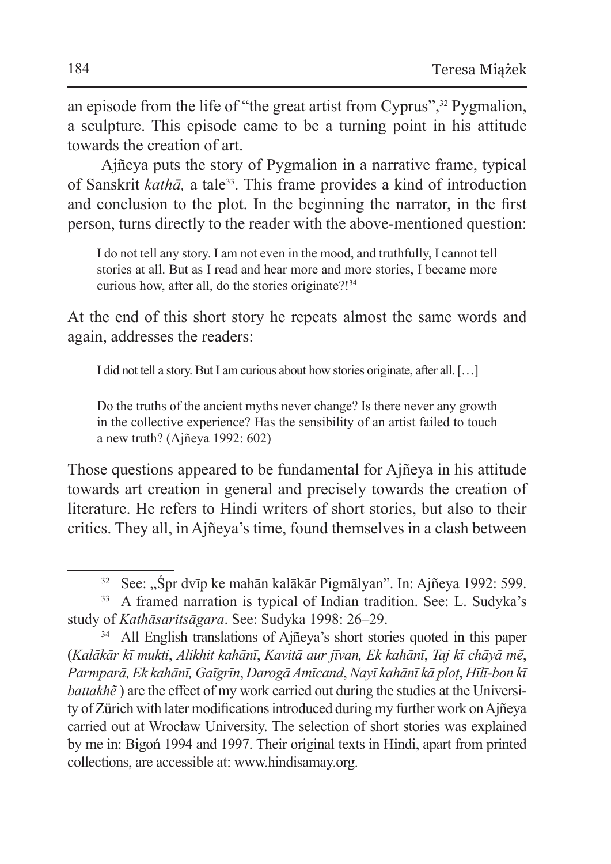an episode from the life of "the great artist from Cyprus",32 Pygmalion, a sculpture. This episode came to be a turning point in his attitude towards the creation of art.

Ajñeya puts the story of Pygmalion in a narrative frame, typical of Sanskrit *kathā,* a tale33. This frame provides a kind of introduction and conclusion to the plot. In the beginning the narrator, in the first person, turns directly to the reader with the above-mentioned question:

I do not tell any story. I am not even in the mood, and truthfully, I cannot tell stories at all. But as I read and hear more and more stories, I became more curious how, after all, do the stories originate?!<sup>34</sup>

At the end of this short story he repeats almost the same words and again, addresses the readers:

I did not tell a story. But I am curious about how stories originate, after all. […]

Do the truths of the ancient myths never change? Is there never any growth in the collective experience? Has the sensibility of an artist failed to touch a new truth? (Ajñeya 1992: 602)

Those questions appeared to be fundamental for Ajñeya in his attitude towards art creation in general and precisely towards the creation of literature. He refers to Hindi writers of short stories, but also to their critics. They all, in Ajñeya's time, found themselves in a clash between

<sup>&</sup>lt;sup>32</sup> See: "Śpr dvīp ke mahān kalākār Pigmālyan". In: Ajñeya 1992: 599.

<sup>33</sup> A framed narration is typical of Indian tradition. See: L. Sudyka's study of *Kathāsaritsāgara*. See: Sudyka 1998: 26–29.

<sup>&</sup>lt;sup>34</sup> All English translations of Ajñeya's short stories quoted in this paper (*Kalākār kī mukti*, *Alikhit kahānī*, *Kavitā aur jīvan, Ek kahānī*, *Taj kī chāyā mẽ*, *Parmparā, Ek kahānī, Gai͂grīn*, *Darogā Amīcand*, *Nayī kahānī kā ploṭ*, *Hīlī-bon kī battakhẽ*) are the effect of my work carried out during the studies at the University of Zürich with later modifications introduced during my further work onAjñeya carried out at Wrocław University. The selection of short stories was explained by me in: Bigoń 1994 and 1997. Their original texts in Hindi, apart from printed collections, are accessible at: www.hindisamay.org.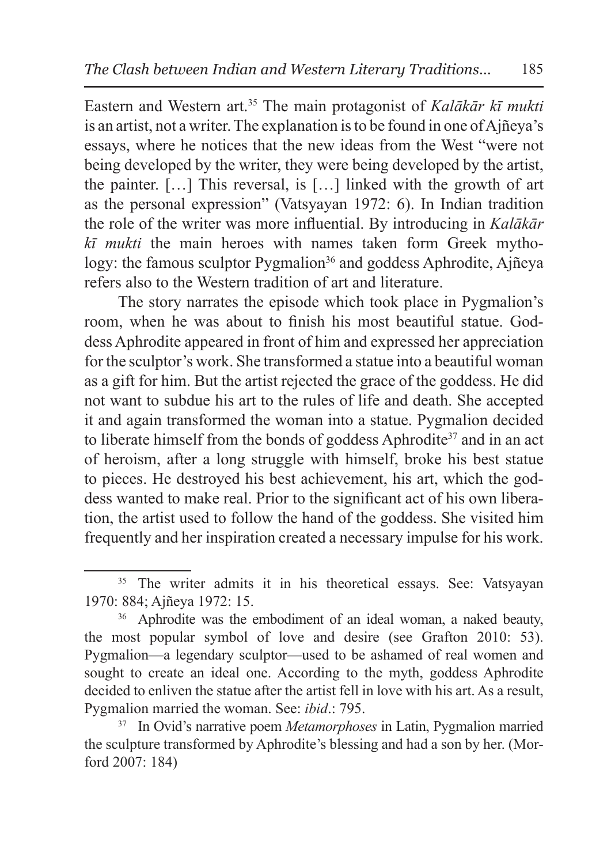Eastern and Western art.35 The main protagonist of *Kalākār kī mukti* is an artist, not a writer. The explanation isto be found in one of Ajñeya's essays, where he notices that the new ideas from the West "were not being developed by the writer, they were being developed by the artist, the painter. […] This reversal, is […] linked with the growth of art as the personal expression" (Vatsyayan 1972: 6). In Indian tradition the role of the writer was more influential. By introducing in *Kalākār kī mukti* the main heroes with names taken form Greek mythology: the famous sculptor Pygmalion<sup>36</sup> and goddess Aphrodite, Ajñeya refers also to the Western tradition of art and literature.

The story narrates the episode which took place in Pygmalion's room, when he was about to finish his most beautiful statue. Goddess Aphrodite appeared in front of him and expressed her appreciation for the sculptor's work. She transformed a statue into a beautiful woman as a gift for him. But the artist rejected the grace of the goddess. He did not want to subdue his art to the rules of life and death. She accepted it and again transformed the woman into a statue. Pygmalion decided to liberate himself from the bonds of goddess Aphrodite<sup>37</sup> and in an act of heroism, after a long struggle with himself, broke his best statue to pieces. He destroyed his best achievement, his art, which the goddess wanted to make real. Prior to the significant act of his own liberation, the artist used to follow the hand of the goddess. She visited him frequently and her inspiration created a necessary impulse for his work.

<sup>&</sup>lt;sup>35</sup> The writer admits it in his theoretical essays. See: Vatsyayan 1970: 884; Ajñeya 1972: 15.

<sup>36</sup> Aphrodite was the embodiment of an ideal woman, a naked beauty, the most popular symbol of love and desire (see Grafton 2010: 53). Pygmalion—a legendary sculptor—used to be ashamed of real women and sought to create an ideal one. According to the myth, goddess Aphrodite decided to enliven the statue after the artist fell in love with his art. As a result, Pygmalion married the woman. See: *ibid*.: 795.

<sup>37</sup> In Ovid's narrative poem *Metamorphoses* in Latin, Pygmalion married the sculpture transformed by Aphrodite's blessing and had a son by her. (Morford 2007: 184)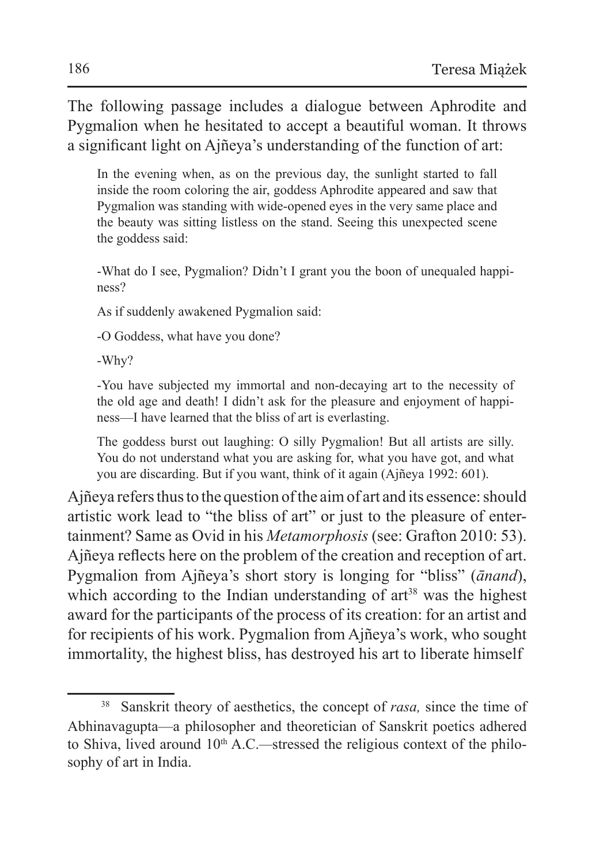The following passage includes a dialogue between Aphrodite and Pygmalion when he hesitated to accept a beautiful woman. It throws a significant light on Ajñeya's understanding of the function of art:

In the evening when, as on the previous day, the sunlight started to fall inside the room coloring the air, goddess Aphrodite appeared and saw that Pygmalion was standing with wide-opened eyes in the very same place and the beauty was sitting listless on the stand. Seeing this unexpected scene the goddess said:

-What do I see, Pygmalion? Didn't I grant you the boon of unequaled happiness?

As if suddenly awakened Pygmalion said:

-O Goddess, what have you done?

-Why?

-You have subjected my immortal and non-decaying art to the necessity of the old age and death! I didn't ask for the pleasure and enjoyment of happiness—I have learned that the bliss of art is everlasting.

The goddess burst out laughing: O silly Pygmalion! But all artists are silly. You do not understand what you are asking for, what you have got, and what you are discarding. But if you want, think of it again (Ajñeya 1992: 601).

Ajñeya refers thus to the question of the aim of art and its essence: should artistic work lead to "the bliss of art" or just to the pleasure of entertainment? Same as Ovid in his *Metamorphosis* (see: Grafton 2010: 53). Ajñeya reflects here on the problem of the creation and reception of art. Pygmalion from Ajñeya's short story is longing for "bliss" (*ānand*), which according to the Indian understanding of  $art^{38}$  was the highest award for the participants of the process of its creation: for an artist and for recipients of his work. Pygmalion from Ajñeya's work, who sought immortality, the highest bliss, has destroyed his art to liberate himself

<sup>38</sup> Sanskrit theory of aesthetics, the concept of *rasa,* since the time of Abhinavagupta—a philosopher and theoretician of Sanskrit poetics adhered to Shiva, lived around 10<sup>th</sup> A.C.—stressed the religious context of the philosophy of art in India.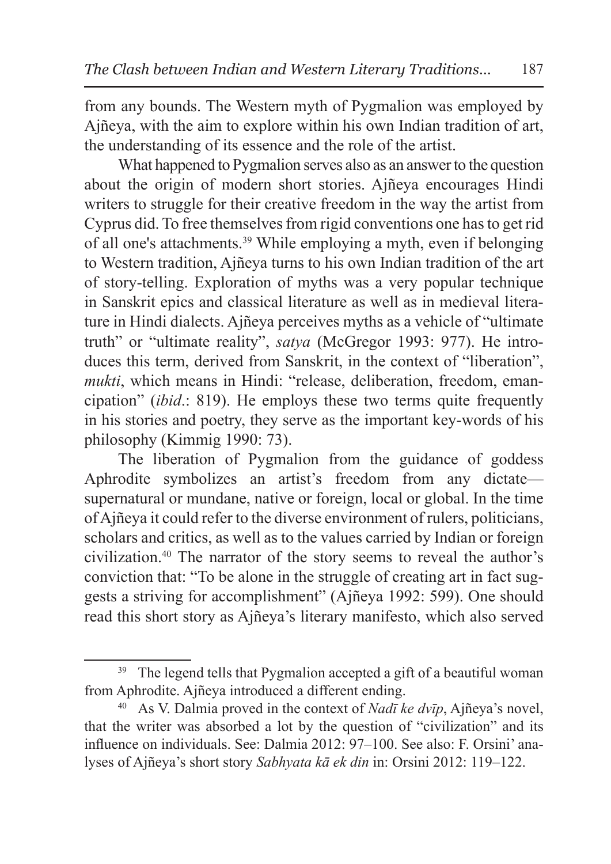from any bounds. The Western myth of Pygmalion was employed by Ajñeya, with the aim to explore within his own Indian tradition of art, the understanding of its essence and the role of the artist.

What happened to Pygmalion serves also as an answer to the question about the origin of modern short stories. Ajñeya encourages Hindi writers to struggle for their creative freedom in the way the artist from Cyprus did. To free themselves from rigid conventions one has to get rid of all one's attachments.39 While employing a myth, even if belonging to Western tradition, Ajñeya turns to his own Indian tradition of the art of story-telling. Exploration of myths was a very popular technique in Sanskrit epics and classical literature as well as in medieval literature in Hindi dialects. Ajñeya perceives myths as a vehicle of "ultimate truth" or "ultimate reality", *satya* (McGregor 1993: 977). He introduces this term, derived from Sanskrit, in the context of "liberation", *mukti*, which means in Hindi: "release, deliberation, freedom, emancipation" (*ibid*.: 819). He employs these two terms quite frequently in his stories and poetry, they serve as the important key-words of his philosophy (Kimmig 1990: 73).

The liberation of Pygmalion from the guidance of goddess Aphrodite symbolizes an artist's freedom from any dictate supernatural or mundane, native or foreign, local or global. In the time of Ajñeya it could refer to the diverse environment of rulers, politicians, scholars and critics, as well as to the values carried by Indian or foreign civilization.40 The narrator of the story seems to reveal the author's conviction that: "To be alone in the struggle of creating art in fact suggests a striving for accomplishment" (Ajñeya 1992: 599). One should read this short story as Ajñeya's literary manifesto, which also served

<sup>&</sup>lt;sup>39</sup> The legend tells that Pygmalion accepted a gift of a beautiful woman from Aphrodite. A jney a introduced a different ending.

<sup>&</sup>lt;sup>40</sup> As V. Dalmia proved in the context of *Nadī ke dvīp*, Ajñeya's novel, that the writer was absorbed a lot by the question of "civilization" and its influence on individuals. See: Dalmia 2012: 97–100. See also: F. Orsini' analyses of Ajñeya's short story *Sabhyata kā ek din* in: Orsini 2012: 119–122.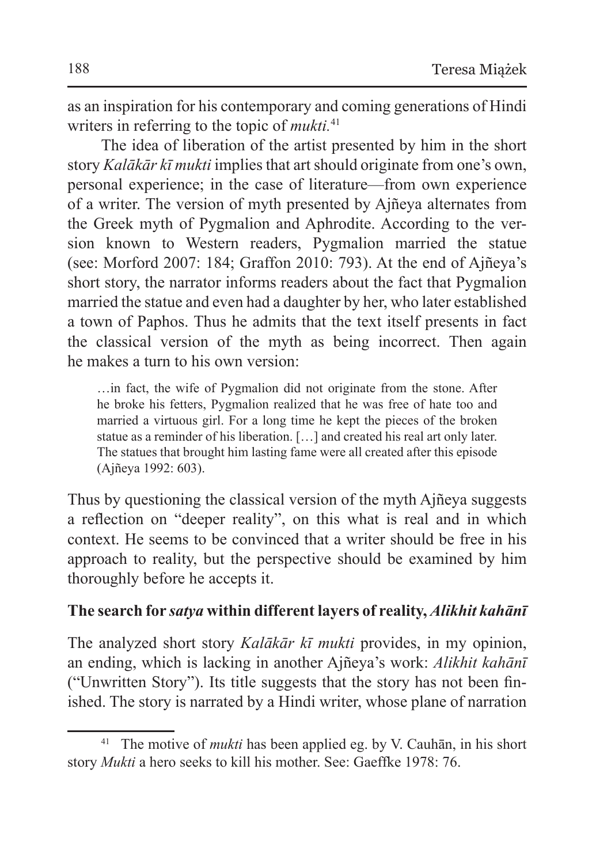as an inspiration for his contemporary and coming generations of Hindi writers in referring to the topic of *mukti.*<sup>41</sup>

The idea of liberation of the artist presented by him in the short story *Kalākār kī mukti* implies that art should originate from one's own, personal experience; in the case of literature—from own experience of a writer. The version of myth presented by Ajñeya alternates from the Greek myth of Pygmalion and Aphrodite. According to the version known to Western readers, Pygmalion married the statue (see: Morford 2007: 184; Graffon 2010: 793). At the end of Ajñeya's short story, the narrator informs readers about the fact that Pygmalion married the statue and even had a daughter by her, who later established a town of Paphos. Thus he admits that the text itself presents in fact the classical version of the myth as being incorrect. Then again he makes a turn to his own version:

…in fact, the wife of Pygmalion did not originate from the stone. After he broke his fetters, Pygmalion realized that he was free of hate too and married a virtuous girl. For a long time he kept the pieces of the broken statue as a reminder of his liberation. […] and created his real art only later. The statues that brought him lasting fame were all created after this episode (Ajñeya 1992: 603).

Thus by questioning the classical version of the myth Ajñeya suggests a reflection on "deeper reality", on this what is real and in which context. He seems to be convinced that a writer should be free in his approach to reality, but the perspective should be examined by him thoroughly before he accepts it.

### **The search for** *satya* **within different layers of reality,** *Alikhit kahānī*

The analyzed short story *Kalākār kī mukti* provides, in my opinion, an ending, which is lacking in another Ajñeya's work: *Alikhit kahānī* ("Unwritten Story"). Its title suggests that the story has not been finished. The story is narrated by a Hindi writer, whose plane of narration

<sup>41</sup> The motive of *mukti* has been applied eg. by V. Cauhān, in his short story *Mukti* a hero seeks to kill his mother. See: Gaeffke 1978: 76.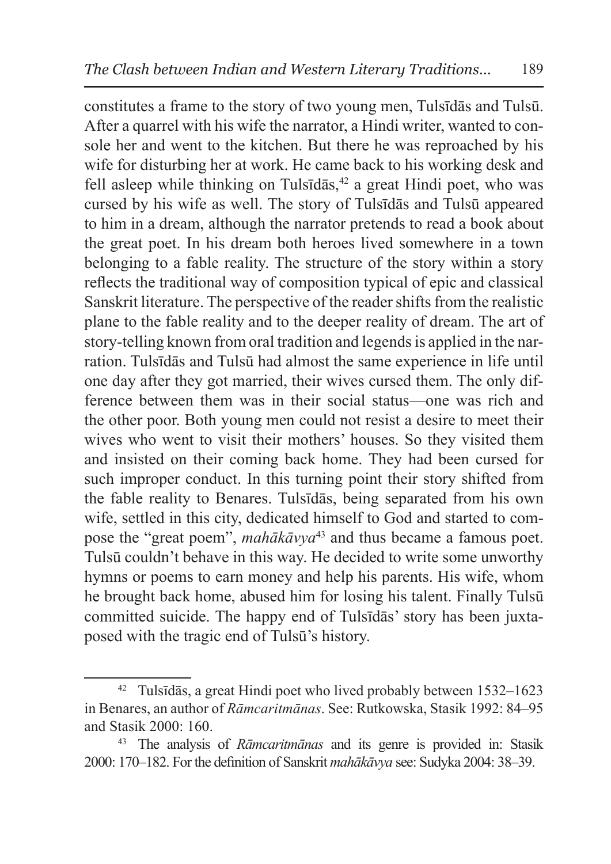constitutes a frame to the story of two young men, Tulsīdās and Tulsū. After a quarrel with his wife the narrator, a Hindi writer, wanted to console her and went to the kitchen. But there he was reproached by his wife for disturbing her at work. He came back to his working desk and fell asleep while thinking on Tulsīdās, $42$  a great Hindi poet, who was cursed by his wife as well. The story of Tulsīdās and Tulsū appeared to him in a dream, although the narrator pretends to read a book about the great poet. In his dream both heroes lived somewhere in a town belonging to a fable reality. The structure of the story within a story reflects the traditional way of composition typical of epic and classical Sanskrit literature. The perspective of the reader shifts from the realistic plane to the fable reality and to the deeper reality of dream. The art of story-telling known from oral tradition and legends is applied in the narration. Tulsīdās and Tulsū had almost the same experience in life until one day after they got married, their wives cursed them. The only difference between them was in their social status—one was rich and the other poor. Both young men could not resist a desire to meet their wives who went to visit their mothers' houses. So they visited them and insisted on their coming back home. They had been cursed for such improper conduct. In this turning point their story shifted from the fable reality to Benares. Tulsīdās, being separated from his own wife, settled in this city, dedicated himself to God and started to compose the "great poem", *mahākāvya*<sup>43</sup> and thus became a famous poet. Tulsū couldn't behave in this way. He decided to write some unworthy hymns or poems to earn money and help his parents. His wife, whom he brought back home, abused him for losing his talent. Finally Tulsū committed suicide. The happy end of Tulsīdās' story has been juxtaposed with the tragic end of Tulsū's history.

<sup>42</sup> Tulsīdās, a great Hindi poet who lived probably between 1532–1623 in Benares, an author of *Rāmcaritmānas*. See: Rutkowska, Stasik 1992: 84–95 and Stasik 2000: 160.

<sup>43</sup> The analysis of *Rāmcaritmānas* and its genre is provided in: Stasik 2000: 170–182. For the definition of Sanskrit *mahākāvya* see: Sudyka 2004: 38–39.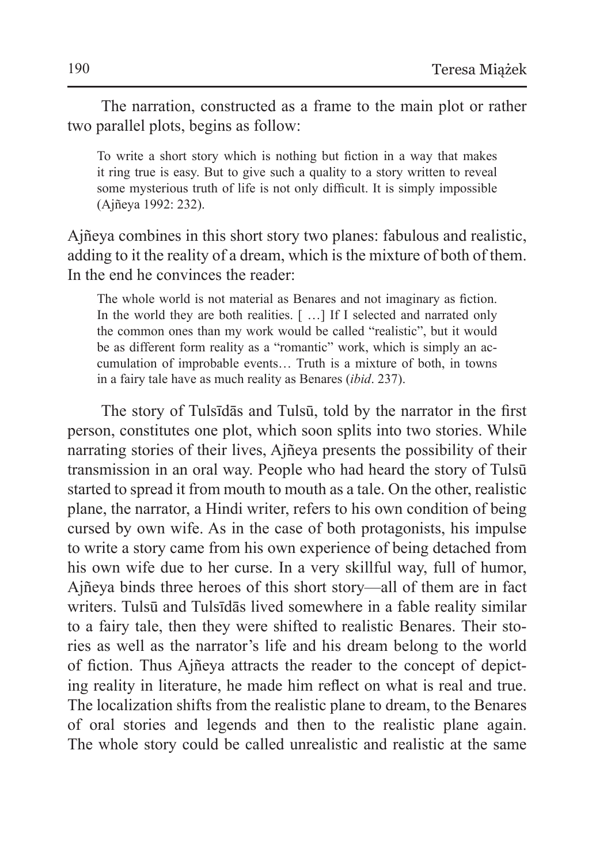The narration, constructed as a frame to the main plot or rather two parallel plots, begins as follow:

To write a short story which is nothing but fiction in a way that makes it ring true is easy. But to give such a quality to a story written to reveal some mysterious truth of life is not only difficult. It is simply impossible (Ajñeya 1992: 232).

Ajñeya combines in this short story two planes: fabulous and realistic, adding to it the reality of a dream, which is the mixture of both of them. In the end he convinces the reader:

The whole world is not material as Benares and not imaginary as fiction. In the world they are both realities. [ ...] If I selected and narrated only the common ones than my work would be called "realistic", but it would be as different form reality as a "romantic" work, which is simply an accumulation of improbable events… Truth is a mixture of both, in towns in a fairy tale have as much reality as Benares (*ibid*. 237).

The story of Tulsīdās and Tulsū, told by the narrator in the first person, constitutes one plot, which soon splits into two stories. While narrating stories of their lives, Ajñeya presents the possibility of their transmission in an oral way. People who had heard the story of Tulsū started to spread it from mouth to mouth as a tale. On the other, realistic plane, the narrator, a Hindi writer, refers to his own condition of being cursed by own wife. As in the case of both protagonists, his impulse to write a story came from his own experience of being detached from his own wife due to her curse. In a very skillful way, full of humor, Ajñeya binds three heroes of this short story—all of them are in fact writers. Tulsū and Tulsīdās lived somewhere in a fable reality similar to a fairy tale, then they were shifted to realistic Benares. Their stories as well as the narrator's life and his dream belong to the world of fiction. Thus Ajñeya attracts the reader to the concept of depicting reality in literature, he made him reflect on what is real and true. The localization shifts from the realistic plane to dream, to the Benares of oral stories and legends and then to the realistic plane again. The whole story could be called unrealistic and realistic at the same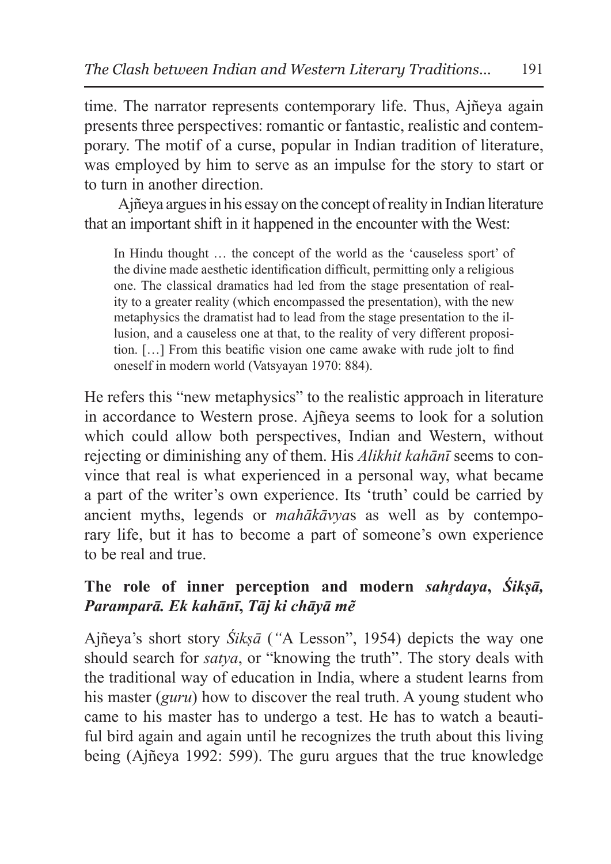time. The narrator represents contemporary life. Thus, Ajñeya again presents three perspectives: romantic or fantastic, realistic and contemporary. The motif of a curse, popular in Indian tradition of literature, was employed by him to serve as an impulse for the story to start or to turn in another direction.

Ajñeya argues in his essay on the concept of reality in Indian literature that an important shift in it happened in the encounter with the West:

In Hindu thought … the concept of the world as the 'causeless sport' of the divine made aesthetic identification difficult, permitting only a religious one. The classical dramatics had led from the stage presentation of reality to a greater reality (which encompassed the presentation), with the new metaphysics the dramatist had to lead from the stage presentation to the illusion, and a causeless one at that, to the reality of very different proposition. […] From this beatific vision one came awake with rude jolt to find oneself in modern world (Vatsyayan 1970: 884).

He refers this "new metaphysics" to the realistic approach in literature in accordance to Western prose. Ajñeya seems to look for a solution which could allow both perspectives, Indian and Western, without rejecting or diminishing any of them. His *Alikhit kahānī* seems to convince that real is what experienced in a personal way, what became a part of the writer's own experience. Its 'truth' could be carried by ancient myths, legends or *mahākāvya*s as well as by contemporary life, but it has to become a part of someone's own experience to be real and true.

# **The role of inner perception and modern** *sahr̥daya***,** *Śikṣā, Paramparā. Ek kahānī***,** *Tāj ki chāyā mẽ*

Ajñeya's short story *Śikṣā* (*"*A Lesson", 1954) depicts the way one should search for *satya*, or "knowing the truth". The story deals with the traditional way of education in India, where a student learns from his master (*guru*) how to discover the real truth. A young student who came to his master has to undergo a test. He has to watch a beautiful bird again and again until he recognizes the truth about this living being (Ajñeya 1992: 599). The guru argues that the true knowledge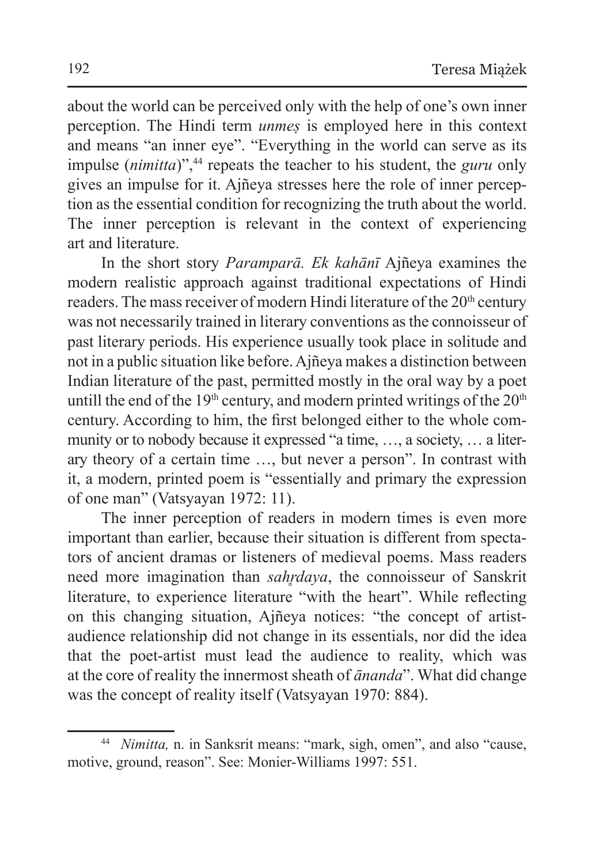about the world can be perceived only with the help of one's own inner perception. The Hindi term *unmeṣ* is employed here in this context and means "an inner eye". "Everything in the world can serve as its impulse (*nimitta*)",<sup>44</sup> repeats the teacher to his student, the *guru* only gives an impulse for it. Ajñeya stresses here the role of inner perception as the essential condition for recognizing the truth about the world. The inner perception is relevant in the context of experiencing art and literature.

In the short story *Paramparā. Ek kahānī* Ajñeya examines the modern realistic approach against traditional expectations of Hindi readers. The mass receiver of modern Hindi literature of the 20<sup>th</sup> century was not necessarily trained in literary conventions asthe connoisseur of past literary periods. His experience usually took place in solitude and not in a public situation like before. Ajñeya makes a distinction between Indian literature of the past, permitted mostly in the oral way by a poet untill the end of the  $19<sup>th</sup>$  century, and modern printed writings of the  $20<sup>th</sup>$ century. According to him, the first belonged either to the whole community or to nobody because it expressed "a time, …, a society, … a literary theory of a certain time …, but never a person". In contrast with it, a modern, printed poem is "essentially and primary the expression of one man" (Vatsyayan 1972: 11).

The inner perception of readers in modern times is even more important than earlier, because their situation is different from spectators of ancient dramas or listeners of medieval poems. Mass readers need more imagination than *sahr̥daya*, the connoisseur of Sanskrit literature, to experience literature "with the heart". While reflecting on this changing situation, Ajñeya notices: "the concept of artistaudience relationship did not change in its essentials, nor did the idea that the poet-artist must lead the audience to reality, which was at the core of reality the innermost sheath of *ānanda*". What did change was the concept of reality itself (Vatsyayan 1970: 884).

<sup>44</sup> *Nimitta,* n. in Sanksrit means: "mark, sigh, omen", and also "cause, motive, ground, reason". See: Monier-Williams 1997: 551.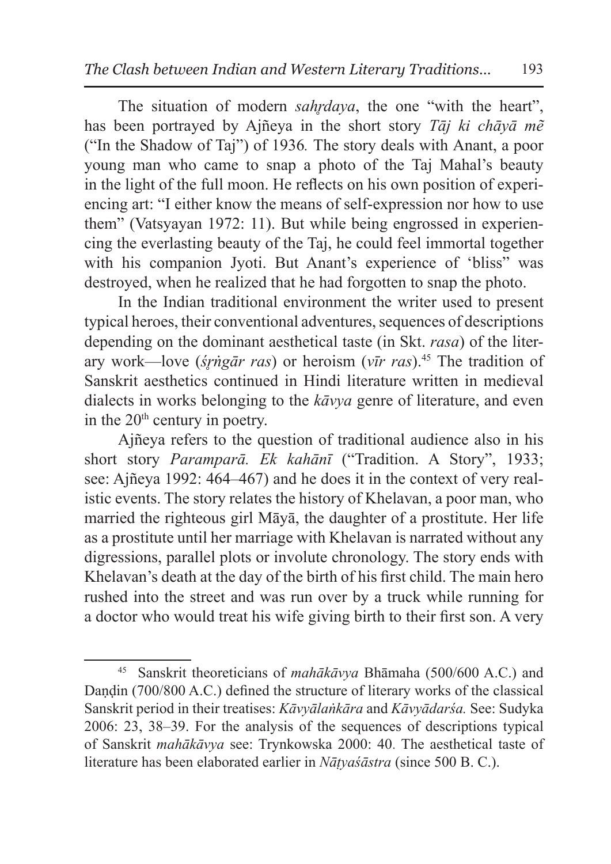The situation of modern *sahr̥daya*, the one "with the heart", has been portrayed by Ajñeya in the short story *Tāj ki chāyā mẽ*  ("In the Shadow of Taj") of 1936*.* The story deals with Anant, a poor young man who came to snap a photo of the Taj Mahal's beauty in the light of the full moon. He reflects on his own position of experiencing art: "I either know the means of self-expression nor how to use them" (Vatsyayan 1972: 11). But while being engrossed in experiencing the everlasting beauty of the Taj, he could feel immortal together with his companion Jyoti. But Anant's experience of 'bliss" was destroyed, when he realized that he had forgotten to snap the photo.

In the Indian traditional environment the writer used to present typical heroes, their conventional adventures, sequences of descriptions depending on the dominant aesthetical taste (in Skt. *rasa*) of the literary work—love (*śr̥ṅgār ras*) or heroism (*vīr ras*).45 The tradition of Sanskrit aesthetics continued in Hindi literature written in medieval dialects in works belonging to the *kāvya* genre of literature, and even in the  $20<sup>th</sup>$  century in poetry.

Ajñeya refers to the question of traditional audience also in his short story *Paramparā. Ek kahānī* ("Tradition. A Story", 1933; see: Ajñeya 1992: 464–467) and he does it in the context of very realistic events. The story relates the history of Khelavan, a poor man, who married the righteous girl Māyā, the daughter of a prostitute. Her life as a prostitute until her marriage with Khelavan is narrated without any digressions, parallel plots or involute chronology. The story ends with Khelavan's death at the day of the birth of his first child. The main hero rushed into the street and was run over by a truck while running for a doctor who would treat his wife giving birth to their first son. A very

<sup>45</sup> Sanskrit theoreticians of *mahākāvya* Bhāmaha (500/600 A.C.) and Dandin (700/800 A.C.) defined the structure of literary works of the classical Sanskrit period in their treatises: *Kāvyālaṅkāra* and *Kāvyādarśa.* See: Sudyka 2006: 23, 38–39. For the analysis of the sequences of descriptions typical of Sanskrit *mahākāvya* see: Trynkowska 2000: 40. The aesthetical taste of literature has been elaborated earlier in *Nāṭyaśāstra* (since 500 B. C.).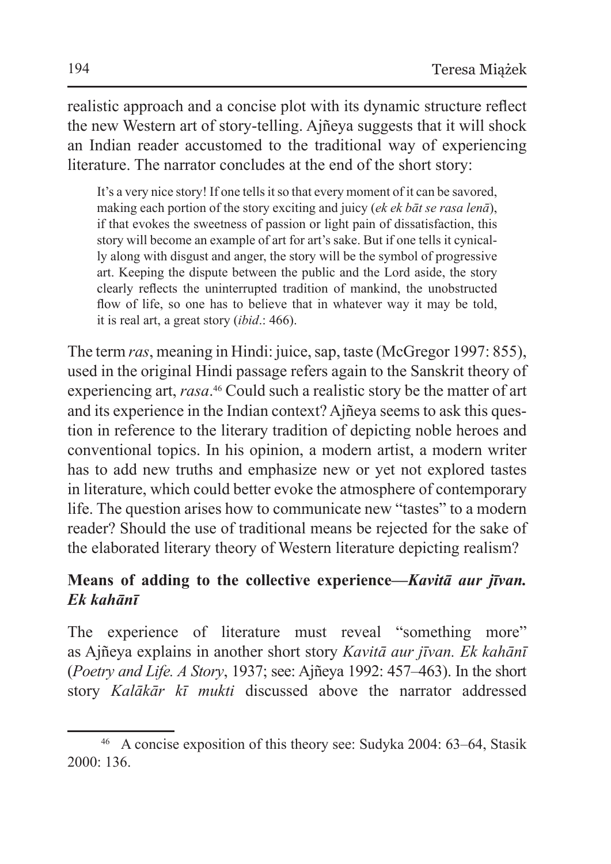realistic approach and a concise plot with its dynamic structure reflect the new Western art of story-telling. Ajñeya suggests that it will shock an Indian reader accustomed to the traditional way of experiencing literature. The narrator concludes at the end of the short story:

It's a very nice story! If one tells it so that every moment of it can be savored. making each portion of the story exciting and juicy (*ek ek bāt se rasa lenā*), if that evokes the sweetness of passion or light pain of dissatisfaction, this story will become an example of art for art's sake. But if one tells it cynically along with disgust and anger, the story will be the symbol of progressive art. Keeping the dispute between the public and the Lord aside, the story clearly reflects the uninterrupted tradition of mankind, the unobstructed flow of life, so one has to believe that in whatever way it may be told, it is real art, a great story (*ibid*.: 466).

The term *ras*, meaning in Hindi: juice, sap, taste (McGregor 1997: 855), used in the original Hindi passage refers again to the Sanskrit theory of experiencing art, *rasa*. 46 Could such a realistic story be the matter of art and its experience in the Indian context? Ajñeya seems to ask this question in reference to the literary tradition of depicting noble heroes and conventional topics. In his opinion, a modern artist, a modern writer has to add new truths and emphasize new or yet not explored tastes in literature, which could better evoke the atmosphere of contemporary life. The question arises how to communicate new "tastes" to a modern reader? Should the use of traditional means be rejected for the sake of the elaborated literary theory of Western literature depicting realism?

# **Means of adding to the collective experience—***Kavitā aur jīvan. Ek kahānī*

The experience of literature must reveal "something more" as Ajñeya explains in another short story *Kavitā aur jīvan. Ek kahānī* (*Poetry and Life. A Story*, 1937; see: Ajñeya 1992: 457–463). In the short story *Kalākār kī mukti* discussed above the narrator addressed

<sup>46</sup> A concise exposition of this theory see: Sudyka 2004: 63–64, Stasik 2000: 136.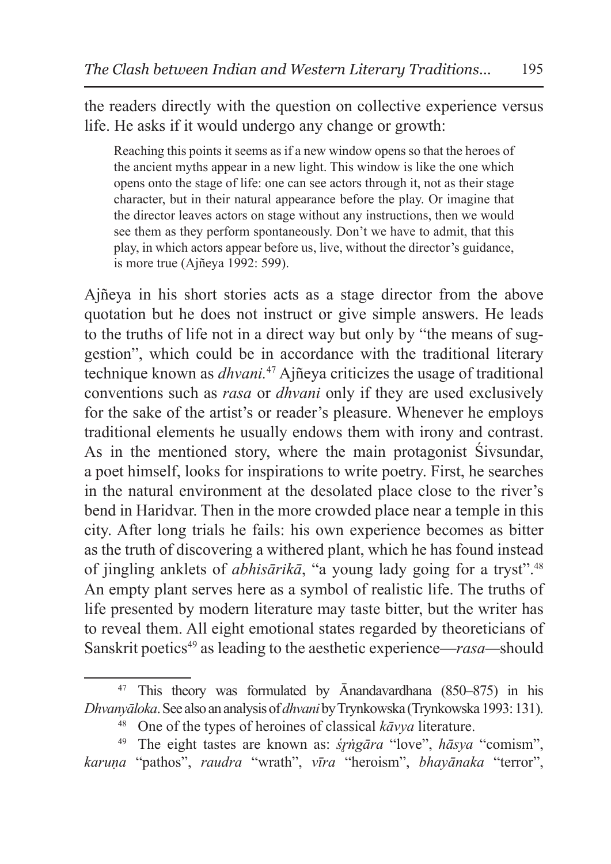the readers directly with the question on collective experience versus life. He asks if it would undergo any change or growth:

Reaching this points it seems as if a new window opens so that the heroes of the ancient myths appear in a new light. This window is like the one which opens onto the stage of life: one can see actors through it, not as their stage character, but in their natural appearance before the play. Or imagine that the director leaves actors on stage without any instructions, then we would see them as they perform spontaneously. Don't we have to admit, that this play, in which actors appear before us, live, without the director's guidance, is more true (Ajñeya 1992: 599).

Ajñeya in his short stories acts as a stage director from the above quotation but he does not instruct or give simple answers. He leads to the truths of life not in a direct way but only by "the means of suggestion", which could be in accordance with the traditional literary technique known as *dhvani.*47 Ajñeya criticizes the usage of traditional conventions such as *rasa* or *dhvani* only if they are used exclusively for the sake of the artist's or reader's pleasure. Whenever he employs traditional elements he usually endows them with irony and contrast. As in the mentioned story, where the main protagonist Śivsundar, a poet himself, looks for inspirations to write poetry. First, he searches in the natural environment at the desolated place close to the river's bend in Haridvar. Then in the more crowded place near a temple in this city. After long trials he fails: his own experience becomes as bitter as the truth of discovering a withered plant, which he has found instead of jingling anklets of *abhisārikā*, "a young lady going for a tryst".48 An empty plant serves here as a symbol of realistic life. The truths of life presented by modern literature may taste bitter, but the writer has to reveal them. All eight emotional states regarded by theoreticians of Sanskrit poetics49 as leading to the aesthetic experience—*rasa—*should

<sup>47</sup> This theory was formulated by Ānandavardhana (850–875) in his *Dhvanyāloka*. See also ananalysis of *dhvani* by Trynkowska (Trynkowska 1993:131).

<sup>48</sup> One of the types of heroines of classical *kāvya* literature. 49 The eight tastes are known as: *śr̥ṅgāra* "love", *hāsya* "comism",

*karuṇa* "pathos", *raudra* "wrath", *vīra* "heroism", *bhayānaka* "terror",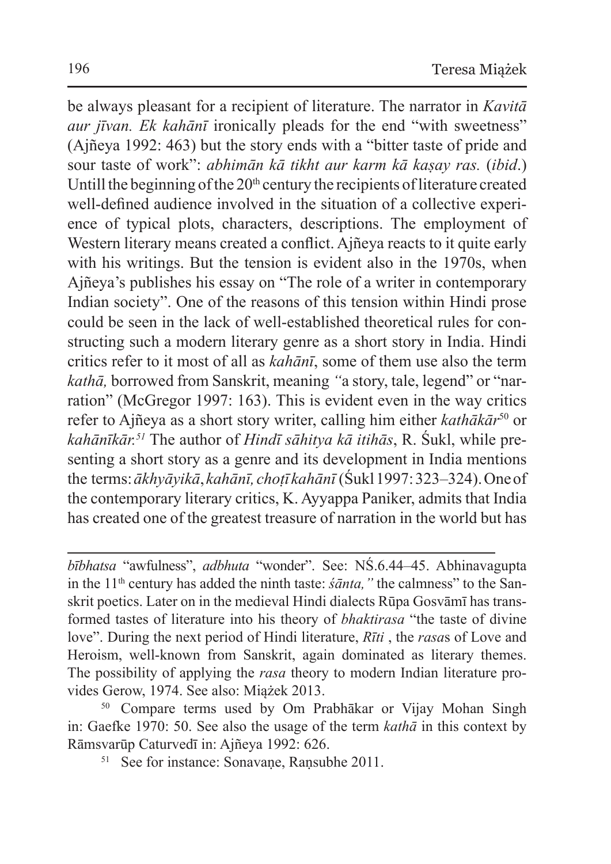be always pleasant for a recipient of literature. The narrator in *Kavitā aur jīvan. Ek kahānī* ironically pleads for the end "with sweetness" (Ajñeya 1992: 463) but the story ends with a "bitter taste of pride and sour taste of work": *abhimān kā tikht aur karm kā kaṣay ras.* (*ibid*.) Untill the beginning of the  $20<sup>th</sup>$  century the recipients of literature created well-defined audience involved in the situation of a collective experience of typical plots, characters, descriptions. The employment of Western literary means created a conflict. Ajñeya reacts to it quite early with his writings. But the tension is evident also in the 1970s, when Ajñeya's publishes his essay on "The role of a writer in contemporary Indian society". One of the reasons of this tension within Hindi prose could be seen in the lack of well-established theoretical rules for constructing such a modern literary genre as a short story in India. Hindi critics refer to it most of all as *kahānī*, some of them use also the term *kathā,* borrowed from Sanskrit, meaning *"*a story, tale, legend" or "narration" (McGregor 1997: 163). This is evident even in the way critics refer to Ajñeya as a short story writer, calling him either *kathākār*<sup>50</sup> or *kahānīkār.51* The author of *Hindī sāhitya kā itihās*, R. Śukl, while presenting a short story as a genre and its development in India mentions the terms:*ākhyāyikā*, *kahānī, choṭī kahānī* (Śukl 1997:323–324). One of the contemporary literary critics, K. Ayyappa Paniker, admits that India has created one of the greatest treasure of narration in the world but has

*bībhatsa* "awfulness", *adbhuta* "wonder". See: NŚ.6.44–45. Abhinavagupta in the 11<sup>th</sup> century has added the ninth taste: *śānta*, " the calmness" to the Sanskrit poetics. Later on in the medieval Hindi dialects Rūpa Gosvāmī has transformed tastes of literature into his theory of *bhaktirasa* "the taste of divine love". During the next period of Hindi literature, *Rīti* , the *rasa*s of Love and Heroism, well-known from Sanskrit, again dominated as literary themes. The possibility of applying the *rasa* theory to modern Indian literature provides Gerow, 1974. See also: Miążek 2013.

<sup>50</sup> Compare terms used by Om Prabhākar or Vijay Mohan Singh in: Gaefke 1970: 50. See also the usage of the term *kathā* in this context by Rāmsvarūp Caturvedī in: Ajñeya 1992: 626.

<sup>51</sup> See for instance: Sonavane, Ransubhe 2011.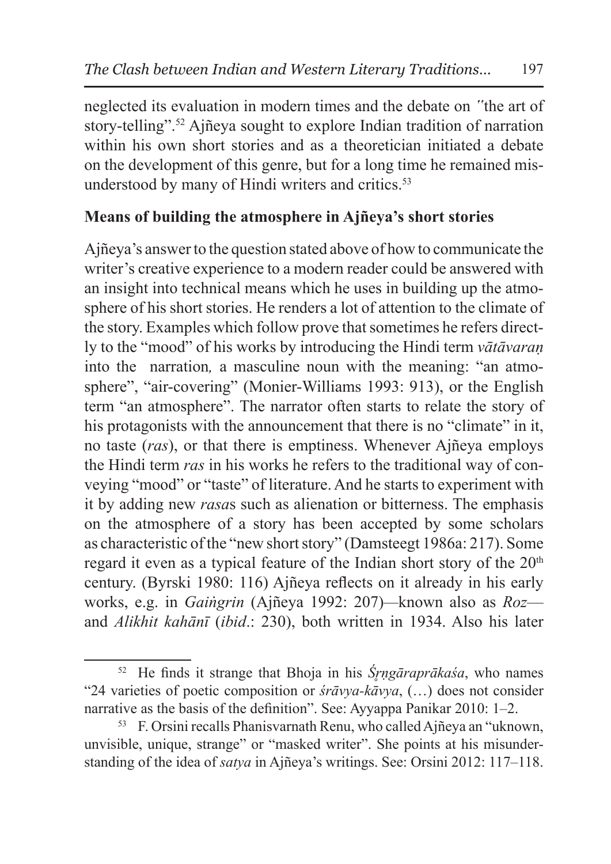neglected its evaluation in modern times and the debate on *"*the art of story-telling".52 Ajñeya sought to explore Indian tradition of narration within his own short stories and as a theoretician initiated a debate on the development of this genre, but for a long time he remained misunderstood by many of Hindi writers and critics.<sup>53</sup>

# **Means of building the atmosphere in Ajñeya's short stories**

Ajñeya's answer to the question stated above of how to communicate the writer's creative experience to a modern reader could be answered with an insight into technical means which he uses in building up the atmosphere of his short stories. He renders a lot of attention to the climate of the story. Examples which follow prove that sometimes he refers directly to the "mood" of his works by introducing the Hindi term *vātāvaraṇ* into the narration*,* a masculine noun with the meaning: "an atmosphere", "air-covering" (Monier-Williams 1993: 913), or the English term "an atmosphere". The narrator often starts to relate the story of his protagonists with the announcement that there is no "climate" in it, no taste (*ras*), or that there is emptiness. Whenever Ajñeya employs the Hindi term *ras* in his works he refers to the traditional way of conveying "mood" or "taste" of literature. And he starts to experiment with it by adding new *rasa*s such as alienation or bitterness. The emphasis on the atmosphere of a story has been accepted by some scholars as characteristic of the "new short story" (Damsteegt 1986a: 217). Some regard it even as a typical feature of the Indian short story of the 20<sup>th</sup> century. (Byrski 1980: 116) Ajñeya reflects on it already in his early works, e.g. in *Gaiṅgrin* (Ajñeya 1992: 207)*—*known also as *Roz* and *Alikhit kahānī* (*ibid*.: 230), both written in 1934. Also his later

<sup>&</sup>lt;sup>52</sup> He finds it strange that Bhoja in his *Śrngāraprākaśa*, who names "24 varieties of poetic composition or *śrāvya-kāvya*, (…) does not consider narrative as the basis of the definition". See: Ayyappa Panikar 2010: 1–2.<br><sup>53</sup> F. Orsini recalls Phanisvarnath Renu, who called Ajñeya an "uknown,

unvisible, unique, strange" or "masked writer". She points at his misunderstanding of the idea of *satya* in Ajñeya's writings. See: Orsini 2012: 117–118.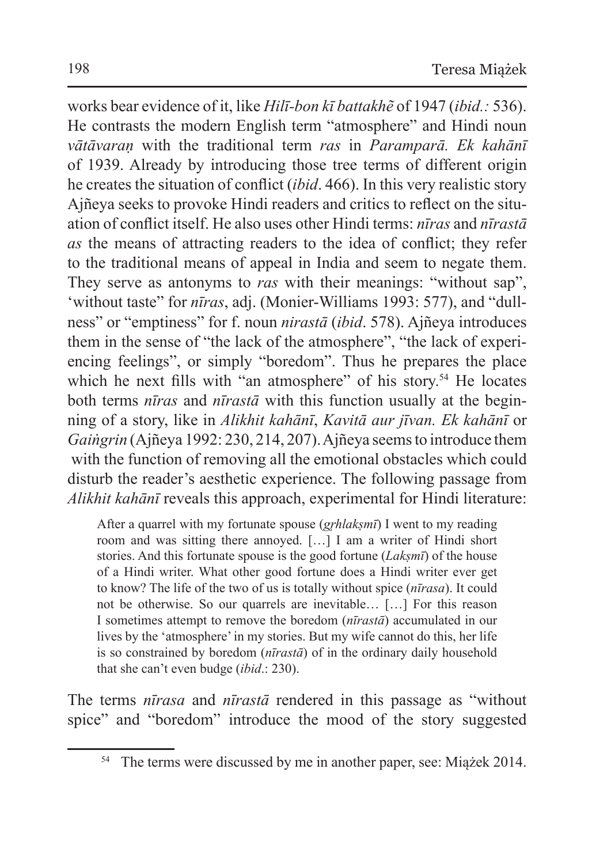works bear evidence of it, like *Hilī-bon kī battakhẽ* of 1947 (*ibid.:* 536). He contrasts the modern English term "atmosphere" and Hindi noun *vātāvaraṇ* with the traditional term *ras* in *Paramparā. Ek kahānī* of 1939. Already by introducing those tree terms of different origin he creates the situation of conflict (*ibid*. 466). In this very realistic story Ajñeya seeks to provoke Hindi readers and critics to reflect on the situation of conflict itself. He also uses other Hindi terms: *nīras* and *nīrastā as* the means of attracting readers to the idea of conflict; they refer to the traditional means of appeal in India and seem to negate them. They serve as antonyms to *ras* with their meanings: "without sap", 'without taste" for *nīras*, adj. (Monier-Williams 1993: 577), and "dullness" or "emptiness" for f. noun *nirastā* (*ibid*. 578). Ajñeya introduces them in the sense of "the lack of the atmosphere", "the lack of experiencing feelings", or simply "boredom". Thus he prepares the place which he next fills with "an atmosphere" of his story.<sup>54</sup> He locates both terms *nīras* and *nīrastā* with this function usually at the beginning of a story, like in *Alikhit kahānī*, *Kavitā aur jīvan. Ek kahānī* or *Gaiṅgrin* (Ajñeya 1992: 230, 214, 207). Ajñeya seems to introduce them with the function of removing all the emotional obstacles which could disturb the reader's aesthetic experience. The following passage from *Alikhit kahānī* reveals this approach, experimental for Hindi literature:

After a quarrel with my fortunate spouse (*gr̥hlakṣmī*) I went to my reading room and was sitting there annoyed. […] I am a writer of Hindi short stories. And this fortunate spouse is the good fortune (*Lakṣmī*) of the house of a Hindi writer. What other good fortune does a Hindi writer ever get to know? The life of the two of us is totally without spice (*nīrasa*). It could not be otherwise. So our quarrels are inevitable… […] For this reason I sometimes attempt to remove the boredom (*nīrastā*) accumulated in our lives by the 'atmosphere' in my stories. But my wife cannot do this, her life is so constrained by boredom (*nīrastā*) of in the ordinary daily household that she can't even budge (*ibid*.: 230).

The terms *nīrasa* and *nīrastā* rendered in this passage as "without spice" and "boredom" introduce the mood of the story suggested

<sup>54</sup> The terms were discussed by me in another paper, see: Miążek 2014.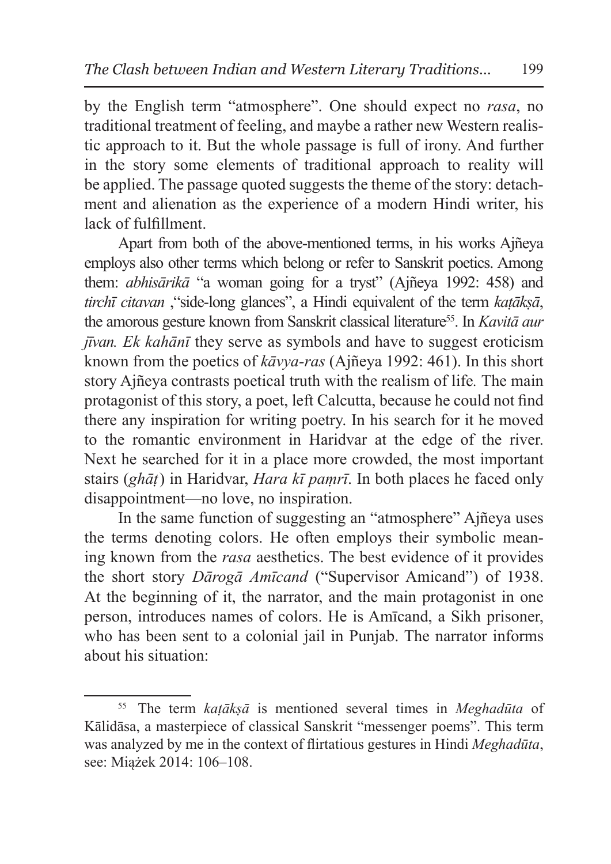by the English term "atmosphere". One should expect no *rasa*, no traditional treatment of feeling, and maybe a rather new Western realistic approach to it. But the whole passage is full of irony. And further in the story some elements of traditional approach to reality will be applied. The passage quoted suggests the theme of the story: detachment and alienation as the experience of a modern Hindi writer, his lack of fulfillment.

Apart from both of the above-mentioned terms, in his works Ajñeya employs also other terms which belong or refer to Sanskrit poetics. Among them: *abhisārikā* "a woman going for a tryst" (Ajñeya 1992: 458) and *tirchī citavan* ,"side-long glances", a Hindi equivalent of the term *kaṭākṣā*, the amorous gesture known from Sanskrit classical literature<sup>55</sup>. In *Kavitā aur jīvan. Ek kahānī* they serve as symbols and have to suggest eroticism known from the poetics of *kāvya-ras* (Ajñeya 1992: 461). In this short story Ajñeya contrasts poetical truth with the realism of life*.* The main protagonist of this story, a poet, left Calcutta, because he could not find there any inspiration for writing poetry. In his search for it he moved to the romantic environment in Haridvar at the edge of the river. Next he searched for it in a place more crowded, the most important stairs (*ghāṭ*) in Haridvar, *Hara kī paṃrī*. In both places he faced only disappointment—no love, no inspiration.

In the same function of suggesting an "atmosphere" Ajñeya uses the terms denoting colors. He often employs their symbolic meaning known from the *rasa* aesthetics. The best evidence of it provides the short story *Dārogā Amīcand* ("Supervisor Amicand") of 1938. At the beginning of it, the narrator, and the main protagonist in one person, introduces names of colors. He is Amīcand, a Sikh prisoner, who has been sent to a colonial jail in Punjab. The narrator informs about his situation:

<sup>55</sup> The term *kaṭākṣā* is mentioned several times in *Meghadūta* of Kālidāsa, a masterpiece of classical Sanskrit "messenger poems". This term was analyzed by me in the context of flirtatious gestures in Hindi *Meghadūta*, see: Miążek 2014: 106–108.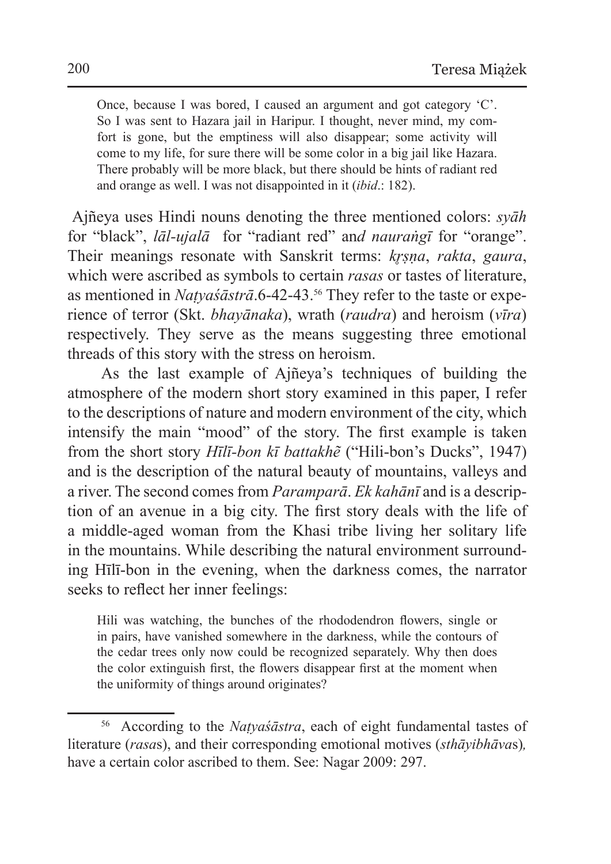Once, because I was bored, I caused an argument and got category 'C'. So I was sent to Hazara jail in Haripur. I thought, never mind, my comfort is gone, but the emptiness will also disappear; some activity will come to my life, for sure there will be some color in a big jail like Hazara. There probably will be more black, but there should be hints of radiant red and orange as well. I was not disappointed in it (*ibid*.: 182).

 Ajñeya uses Hindi nouns denoting the three mentioned colors: *syāh* for "black", *lāl-ujalā* for "radiant red" an*d nauraṅgī* for "orange". Their meanings resonate with Sanskrit terms: *kr̥ṣṇa*, *rakta*, *gaura*, which were ascribed as symbols to certain *rasas* or tastes of literature, as mentioned in *Naṭyaśāstrā*.6-42-43.56 They refer to the taste or experience of terror (Skt. *bhayānaka*), wrath (*raudra*) and heroism (*vīra*) respectively. They serve as the means suggesting three emotional threads of this story with the stress on heroism.

As the last example of Ajñeya's techniques of building the atmosphere of the modern short story examined in this paper, I refer to the descriptions of nature and modern environment of the city, which intensify the main "mood" of the story. The first example is taken from the short story *Hīlī-bon kī battakhẽ* ("Hili-bon's Ducks", 1947) and is the description of the natural beauty of mountains, valleys and a river. The second comes from *Paramparā*. *Ek kahānī* and is a description of an avenue in a big city. The first story deals with the life of a middle-aged woman from the Khasi tribe living her solitary life in the mountains. While describing the natural environment surrounding Hīlī-bon in the evening, when the darkness comes, the narrator seeks to reflect her inner feelings:

Hili was watching, the bunches of the rhododendron flowers, single or in pairs, have vanished somewhere in the darkness, while the contours of the cedar trees only now could be recognized separately. Why then does the color extinguish first, the flowers disappear first at the moment when the uniformity of things around originates?

<sup>56</sup> According to the *Naṭyaśāstra*, each of eight fundamental tastes of literature (*rasa*s), and their corresponding emotional motives (*sthāyibhāva*s)*,*  have a certain color ascribed to them. See: Nagar 2009: 297.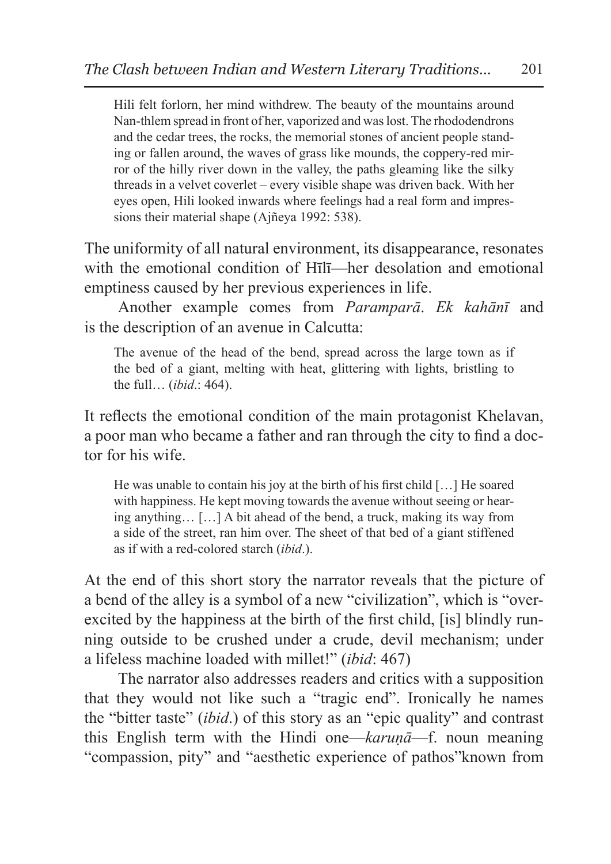Hili felt forlorn, her mind withdrew. The beauty of the mountains around Nan-thlem spread in front of her, vaporized and was lost. The rhododendrons and the cedar trees, the rocks, the memorial stones of ancient people standing or fallen around, the waves of grass like mounds, the coppery-red mirror of the hilly river down in the valley, the paths gleaming like the silky threads in a velvet coverlet – every visible shape was driven back. With her eyes open, Hili looked inwards where feelings had a real form and impressions their material shape (Ajñeya 1992: 538).

The uniformity of all natural environment, its disappearance, resonates with the emotional condition of Hīlī—her desolation and emotional emptiness caused by her previous experiences in life.

Another example comes from *Paramparā*. *Ek kahānī* and is the description of an avenue in Calcutta:

The avenue of the head of the bend, spread across the large town as if the bed of a giant, melting with heat, glittering with lights, bristling to the full… (*ibid*.: 464).

It reflects the emotional condition of the main protagonist Khelavan, a poor man who became a father and ran through the city to find a doctor for his wife.

He was unable to contain his joy at the birth of his first child […] He soared with happiness. He kept moving towards the avenue without seeing or hearing anything… […] A bit ahead of the bend, a truck, making its way from a side of the street, ran him over. The sheet of that bed of a giant stiffened as if with a red-colored starch (*ibid*.).

At the end of this short story the narrator reveals that the picture of a bend of the alley is a symbol of a new "civilization", which is "overexcited by the happiness at the birth of the first child, [is] blindly running outside to be crushed under a crude, devil mechanism; under a lifeless machine loaded with millet!" (*ibid*: 467)

The narrator also addresses readers and critics with a supposition that they would not like such a "tragic end". Ironically he names the "bitter taste" (*ibid*.) of this story as an "epic quality" and contrast this English term with the Hindi one—*karuṇā*—f. noun meaning "compassion, pity" and "aesthetic experience of pathos"known from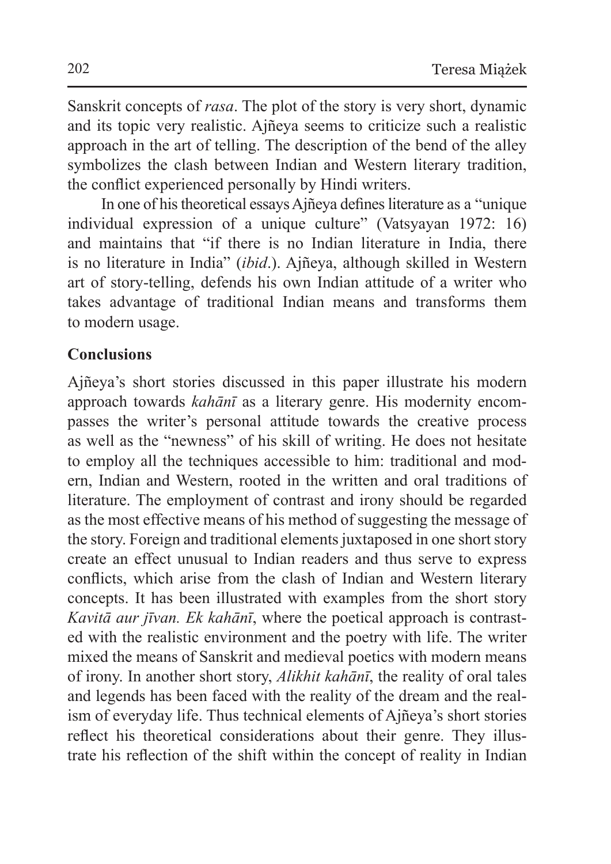Sanskrit concepts of *rasa*. The plot of the story is very short, dynamic and its topic very realistic. Ajñeya seems to criticize such a realistic approach in the art of telling. The description of the bend of the alley symbolizes the clash between Indian and Western literary tradition, the conflict experienced personally by Hindi writers.

In one of his theoretical essays Ajñeya defines literature as a "unique individual expression of a unique culture" (Vatsyayan 1972: 16) and maintains that "if there is no Indian literature in India, there is no literature in India" (*ibid*.). Ajñeya, although skilled in Western art of story-telling, defends his own Indian attitude of a writer who takes advantage of traditional Indian means and transforms them to modern usage.

#### **Conclusions**

Ajñeya's short stories discussed in this paper illustrate his modern approach towards *kahānī* as a literary genre. His modernity encompasses the writer's personal attitude towards the creative process as well as the "newness" of his skill of writing. He does not hesitate to employ all the techniques accessible to him: traditional and modern, Indian and Western, rooted in the written and oral traditions of literature. The employment of contrast and irony should be regarded as the most effective means of his method of suggesting the message of the story. Foreign and traditional elements juxtaposed in one short story create an effect unusual to Indian readers and thus serve to express conflicts, which arise from the clash of Indian and Western literary concepts. It has been illustrated with examples from the short story *Kavitā aur jīvan. Ek kahānī*, where the poetical approach is contrasted with the realistic environment and the poetry with life. The writer mixed the means of Sanskrit and medieval poetics with modern means of irony. In another short story, *Alikhit kahānī*, the reality of oral tales and legends has been faced with the reality of the dream and the realism of everyday life. Thus technical elements of Ajñeya's short stories reflect his theoretical considerations about their genre. They illustrate his reflection of the shift within the concept of reality in Indian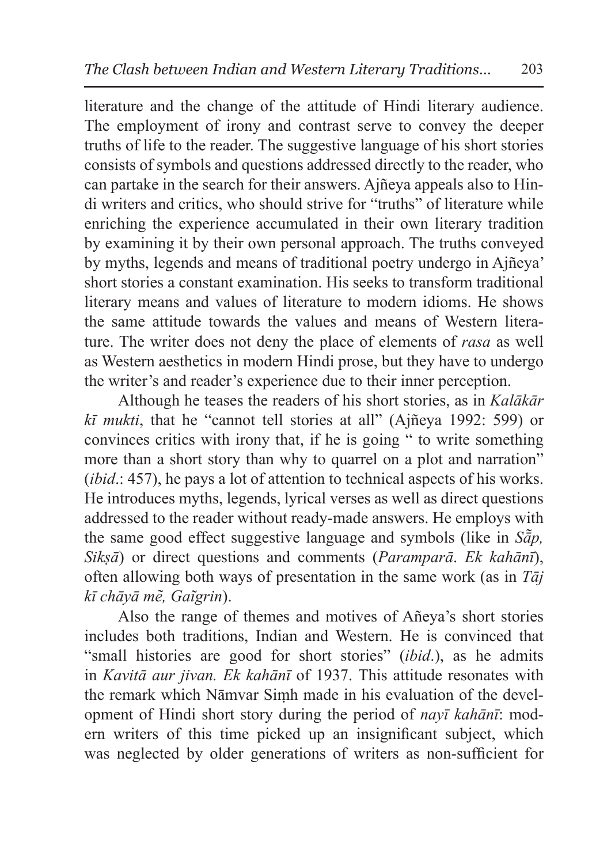literature and the change of the attitude of Hindi literary audience. The employment of irony and contrast serve to convey the deeper truths of life to the reader. The suggestive language of his short stories consists of symbols and questions addressed directly to the reader, who can partake in the search for their answers. Ajñeya appeals also to Hindi writers and critics, who should strive for "truths" of literature while enriching the experience accumulated in their own literary tradition by examining it by their own personal approach. The truths conveyed by myths, legends and means of traditional poetry undergo in Ajñeya' short stories a constant examination. His seeks to transform traditional literary means and values of literature to modern idioms. He shows the same attitude towards the values and means of Western literature. The writer does not deny the place of elements of *rasa* as well as Western aesthetics in modern Hindi prose, but they have to undergo the writer's and reader's experience due to their inner perception.

Although he teases the readers of his short stories, as in *Kalākār kī mukti*, that he "cannot tell stories at all" (Ajñeya 1992: 599) or convinces critics with irony that, if he is going " to write something more than a short story than why to quarrel on a plot and narration" (*ibid*.: 457), he pays a lot of attention to technical aspects of his works. He introduces myths, legends, lyrical verses as well as direct questions addressed to the reader without ready-made answers. He employs with the same good effect suggestive language and symbols (like in *Sā̃p, Sikṣā*) or direct questions and comments (*Paramparā*. *Ek kahānī*), often allowing both ways of presentation in the same work (as in *Tāj kī chāyā me͂, Gaĩgrin*).

Also the range of themes and motives of Añeya's short stories includes both traditions, Indian and Western. He is convinced that "small histories are good for short stories" (*ibid*.), as he admits in *Kavitā aur jivan. Ek kahānī* of 1937. This attitude resonates with the remark which Nāmvar Siṃh made in his evaluation of the development of Hindi short story during the period of *nayī kahānī*: modern writers of this time picked up an insignificant subject, which was neglected by older generations of writers as non-sufficient for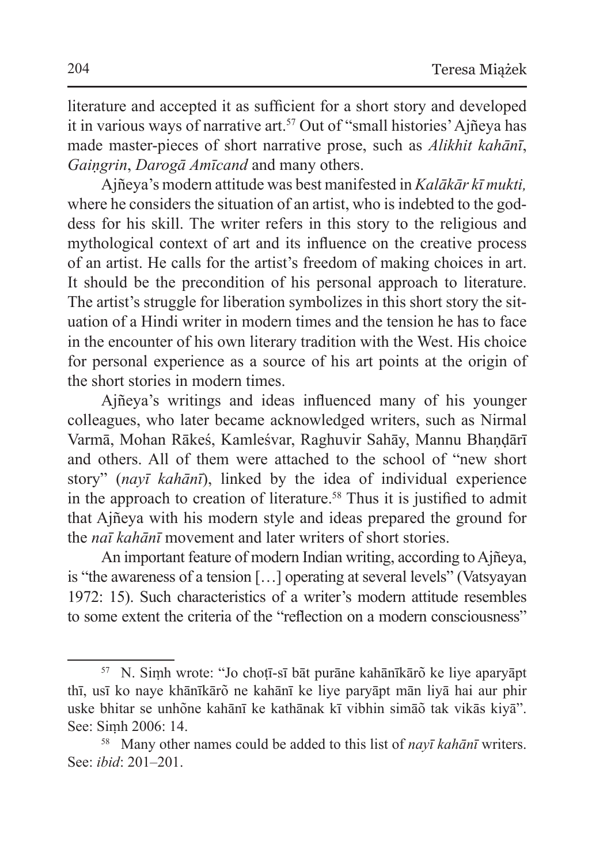literature and accepted it as sufficient for a short story and developed it in various ways of narrative art.<sup>57</sup> Out of "small histories' Ajñeya has made master-pieces of short narrative prose, such as *Alikhit kahānī*, *Gaiṇgrin*, *Darogā Amīcand* and many others.

Ajñeya's modern attitude was best manifested in *Kalākār kī mukti,*  where he considers the situation of an artist, who is indebted to the goddess for his skill. The writer refers in this story to the religious and mythological context of art and its influence on the creative process of an artist. He calls for the artist's freedom of making choices in art. It should be the precondition of his personal approach to literature. The artist's struggle for liberation symbolizes in this short story the situation of a Hindi writer in modern times and the tension he has to face in the encounter of his own literary tradition with the West. His choice for personal experience as a source of his art points at the origin of the short stories in modern times.

Ajñeya's writings and ideas influenced many of his younger colleagues, who later became acknowledged writers, such as Nirmal Varmā, Mohan Rākeś, Kamleśvar, Raghuvir Sahāy, Mannu Bhandārī and others. All of them were attached to the school of "new short story" (*nayī kahānī*), linked by the idea of individual experience in the approach to creation of literature.<sup>58</sup> Thus it is justified to admit that Ajñeya with his modern style and ideas prepared the ground for the *naī kahānī* movement and later writers of short stories.

An important feature of modern Indian writing, according to Ajñeya, is "the awareness of a tension […] operating at several levels" (Vatsyayan 1972: 15). Such characteristics of a writer's modern attitude resembles to some extent the criteria of the "reflection on a modern consciousness"

<sup>&</sup>lt;sup>57</sup> N. Simh wrote: "Jo choṭī-sī bāt purāne kahānīkārõ ke liye aparyāpt thī, usī ko naye khānīkārõ ne kahānī ke liye paryāpt mān liyā hai aur phir uske bhitar se unhõne kahānī ke kathānak kī vibhin simāõ tak vikās kiyā". See: Siṃh 2006: 14.

<sup>58</sup> Many other names could be added to this list of *nayī kahānī* writers. See: *ibid*: 201–201.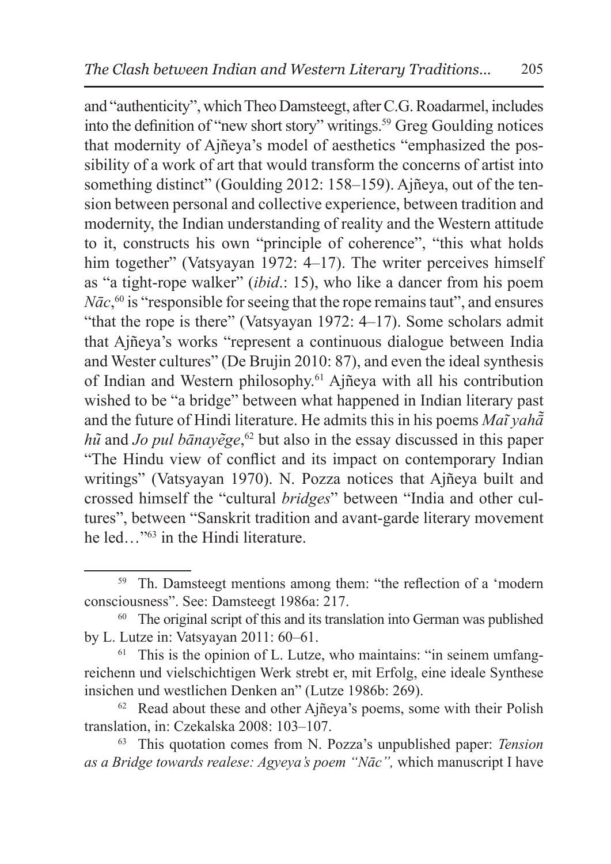and "authenticity", which Theo Damsteegt, after C.G.Roadarmel, includes into the definition of "new short story" writings.59 Greg Goulding notices that modernity of Ajñeya's model of aesthetics "emphasized the possibility of a work of art that would transform the concerns of artist into something distinct" (Goulding 2012: 158–159). Ajñeya, out of the tension between personal and collective experience, between tradition and modernity, the Indian understanding of reality and the Western attitude to it, constructs his own "principle of coherence", "this what holds him together" (Vatsyayan 1972: 4–17). The writer perceives himself as "a tight-rope walker" (*ibid*.: 15), who like a dancer from his poem *Nāc*, 60 is "responsible for seeing that the rope remains taut", and ensures "that the rope is there" (Vatsyayan 1972: 4–17). Some scholars admit that Ajñeya's works "represent a continuous dialogue between India and Wester cultures" (De Brujin 2010: 87), and even the ideal synthesis of Indian and Western philosophy.61 Ajñeya with all his contribution wished to be "a bridge" between what happened in Indian literary past and the future of Hindi literature. He admits this in his poems *Mai͂ yahā͂ hũ* and *Jo pul bānayẽge*,<sup>62</sup> but also in the essay discussed in this paper "The Hindu view of conflict and its impact on contemporary Indian writings" (Vatsyayan 1970). N. Pozza notices that Ajñeya built and crossed himself the "cultural *bridges*" between "India and other cultures", between "Sanskrit tradition and avant-garde literary movement he led…"63 in the Hindi literature.

<sup>59</sup> Th. Damsteegt mentions among them: "the reflection of a 'modern consciousness". See: Damsteegt 1986a: 217.

<sup>&</sup>lt;sup>60</sup> The original script of this and its translation into German was published by L. Lutze in: Vatsyayan 2011: 60–61.<br><sup>61</sup> This is the opinion of L. Lutze, who maintains: "in seinem umfang-

reichenn und vielschichtigen Werk strebt er, mit Erfolg, eine ideale Synthese insichen und westlichen Denken an" (Lutze 1986b: 269).

 $62$  Read about these and other Ajñeya's poems, some with their Polish translation, in: Czekalska 2008: 103–107.

<sup>63</sup> This quotation comes from N. Pozza's unpublished paper: *Tension as a Bridge towards realese: Agyeya's poem "Nāc",* which manuscript I have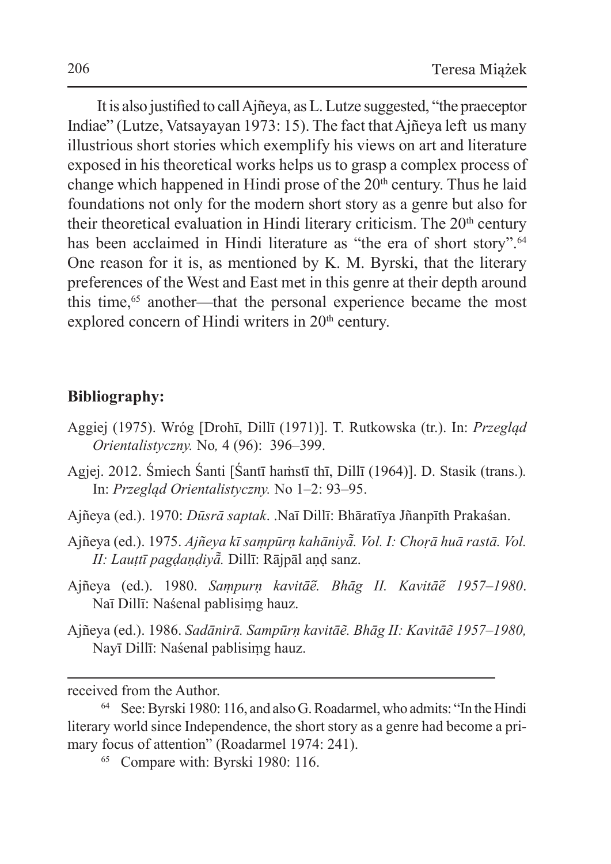It is also justified to call Ajñeya, asL.Lutze suggested, "the praeceptor Indiae" (Lutze, Vatsayayan 1973: 15). The fact that Ajñeya left us many illustrious short stories which exemplify his views on art and literature exposed in his theoretical works helps us to grasp a complex process of change which happened in Hindi prose of the  $20<sup>th</sup>$  century. Thus he laid foundations not only for the modern short story as a genre but also for their theoretical evaluation in Hindi literary criticism. The  $20<sup>th</sup>$  century has been acclaimed in Hindi literature as "the era of short story".<sup>64</sup> One reason for it is, as mentioned by K. M. Byrski, that the literary preferences of the West and East met in this genre at their depth around this time,<sup>65</sup> another—that the personal experience became the most explored concern of Hindi writers in 20<sup>th</sup> century.

#### **Bibliography:**

- Aggiej (1975). Wróg [Drohī, Dillī (1971)]. T. Rutkowska (tr.). In: *Przegląd Orientalistyczny.* No*,* 4 (96): 396–399.
- Agjej. 2012. Śmiech Śanti [Śantī haṁstī thī, Dillī (1964)]. D. Stasik (trans.)*.*  In: *Przegląd Orientalistyczny.* No 1–2: 93–95.
- Ajñeya (ed.). 1970: *Dūsrā saptak*. .Naī Dillī: Bhāratīya Jñanpīth Prakaśan.
- Ajñeya (ed.). 1975. *Ajñeya kī saṃpūrṇ kahāniyā͂. Vol. I: Choṛā huā rastā. Vol. II: Lauṭtī pagḍaṇḍiyā͂.* Dillī: Rājpāl aṇḍ sanz.
- Ajñeya (ed.). 1980. *Saṃpurṇ kavitāe᷉. Bhāg II. Kavitāe᷉ 1957–1980*. Naī Dillī: Naśenal pablisiṃg hauz.
- Ajñeya (ed.). 1986. *Sadānirā. Sampūrṇ kavitāẽ. Bhāg II: Kavitāẽ 1957–1980,*  Nayī Dillī: Naśenal pablisiṃg hauz.

received from the Author.

<sup>64</sup> See:Byrski 1980: 116, and also G.Roadarmel, who admits: "In the Hindi literary world since Independence, the short story as a genre had become a primary focus of attention" (Roadarmel 1974: 241).<br><sup>65</sup> Compare with: Byrski 1980: 116.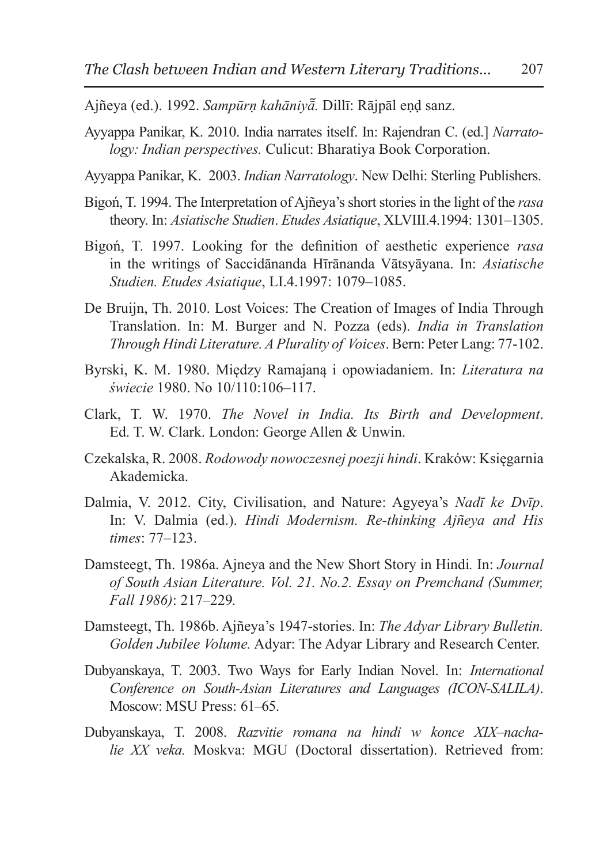Ajñeya (ed.). 1992. *Sampūrṇ kahāniyā᷉.* Dillī: Rājpāl eṇḍ sanz.

- Ayyappa Panikar, K. 2010. India narrates itself. In: Rajendran C. (ed.] *Narratology: Indian perspectives.* Culicut: Bharatiya Book Corporation.
- Ayyappa Panikar, K. 2003. *Indian Narratology*. New Delhi: Sterling Publishers.
- Bigoń, T. 1994. The Interpretation of Ajñeya's short stories in the light of the *rasa* theory. In: *Asiatische Studien*. *Etudes Asiatique*, XLVIII.4.1994: 1301–1305.
- Bigoń, T. 1997. Looking for the definition of aesthetic experience *rasa* in the writings of Saccidānanda Hīrānanda Vātsyāyana. In: *Asiatische Studien. Etudes Asiatique*, LI.4.1997: 1079–1085.
- De Bruijn, Th. 2010. Lost Voices: The Creation of Images of India Through Translation. In: M. Burger and N. Pozza (eds). *India in Translation Through Hindi Literature. A Plurality of Voices*. Bern: Peter Lang: 77-102.
- Byrski, K. M. 1980. Między Ramajaną i opowiadaniem. In: *Literatura na świecie* 1980. No 10/110:106–117.
- Clark, T. W. 1970. *The Novel in India. Its Birth and Development*. Ed. T. W. Clark. London: George Allen & Unwin.
- Czekalska, R. 2008. *Rodowody nowoczesnej poezji hindi*. Kraków: Księgarnia Akademicka.
- Dalmia, V. 2012. City, Civilisation, and Nature: Agyeya's *Nadī ke Dvīp*. In: V. Dalmia (ed.). *Hindi Modernism. Re-thinking Ajñeya and His times*: 77–123.
- Damsteegt, Th. 1986a. Ajneya and the New Short Story in Hindi*.* In: *Journal of South Asian Literature. Vol. 21. No.2. Essay on Premchand (Summer, Fall 1986)*: 217–229*.*
- Damsteegt, Th. 1986b. Ajñeya's 1947-stories. In: *The Adyar Library Bulletin. Golden Jubilee Volume.* Adyar: The Adyar Library and Research Center.
- Dubyanskaya, T. 2003. Two Ways for Early Indian Novel. In: *International Conference on South-Asian Literatures and Languages (ICON-SALILA)*. Moscow: MSU Press: 61–65.
- Dubyanskaya, T. 2008. *Razvitie romana na hindi w konce XIX–nachalie XX veka.* Moskva: MGU (Doctoral dissertation). Retrieved from: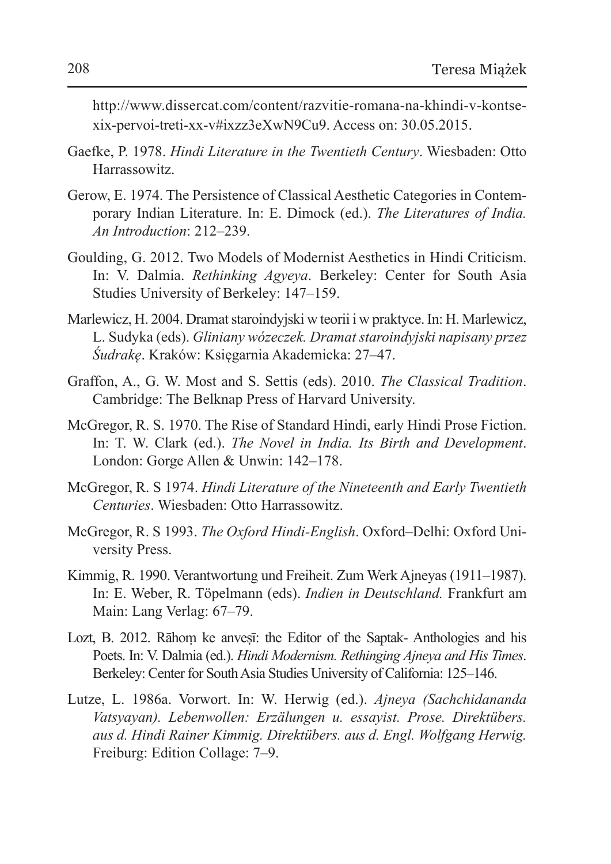http://www.dissercat.com/content/razvitie-romana-na-khindi-v-kontsexix-pervoi-treti-xx-v#ixzz3eXwN9Cu9. Access on: 30.05.2015.

- Gaefke, P. 1978. *Hindi Literature in the Twentieth Century*. Wiesbaden: Otto Harrassowitz.
- Gerow, E. 1974. The Persistence of Classical Aesthetic Categories in Contemporary Indian Literature. In: E. Dimock (ed.). *The Literatures of India. An Introduction*: 212–239.
- Goulding, G. 2012. Two Models of Modernist Aesthetics in Hindi Criticism. In: V. Dalmia. *Rethinking Agyeya*. Berkeley: Center for South Asia Studies University of Berkeley: 147–159.
- Marlewicz, H. 2004. Dramat staroindyjski w teorii i w praktyce. In: H. Marlewicz, L. Sudyka (eds). *Gliniany wózeczek. Dramat staroindyjski napisany przez Śudrakę*. Kraków: Księgarnia Akademicka: 27–47.
- Graffon, A., G. W. Most and S. Settis (eds). 2010. *The Classical Tradition*. Cambridge: The Belknap Press of Harvard University.
- McGregor, R. S. 1970. The Rise of Standard Hindi, early Hindi Prose Fiction. In: T. W. Clark (ed.). *The Novel in India. Its Birth and Development*. London: Gorge Allen & Unwin: 142–178.
- McGregor, R. S 1974. *Hindi Literature of the Nineteenth and Early Twentieth Centuries*. Wiesbaden: Otto Harrassowitz.
- McGregor, R. S 1993. *The Oxford Hindi-English*. Oxford–Delhi: Oxford University Press.
- Kimmig, R. 1990. Verantwortung und Freiheit. Zum Werk Ajneyas (1911–1987). In: E. Weber, R. Töpelmann (eds). *Indien in Deutschland.* Frankfurt am Main: Lang Verlag: 67–79.
- Lozt, B. 2012. Rāhom ke anvesī: the Editor of the Saptak- Anthologies and his Poets. In: V. Dalmia (ed.). *Hindi Modernism. Rethinging Ajneya and His Times*. Berkeley: Center for South Asia Studies University of California: 125–146.
- Lutze, L. 1986a. Vorwort. In: W. Herwig (ed.). *Ajneya (Sachchidananda Vatsyayan). Lebenwollen: Erzälungen u. essayist. Prose. Direktübers. aus d. Hindi Rainer Kimmig. Direktübers. aus d. Engl. Wolfgang Herwig.*  Freiburg: Edition Collage: 7–9.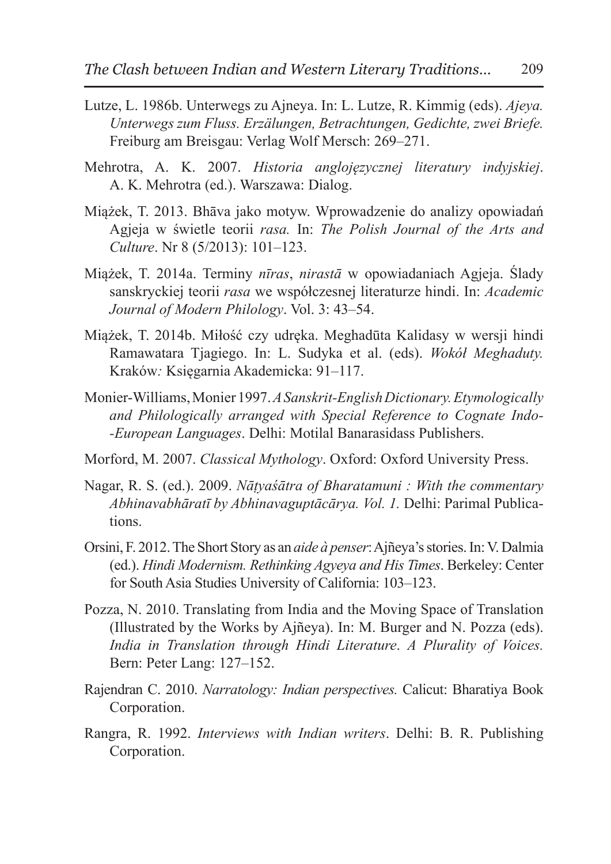- Lutze, L. 1986b. Unterwegs zu Ajneya. In: L. Lutze, R. Kimmig (eds). *Ajeya. Unterwegs zum Fluss. Erzälungen, Betrachtungen, Gedichte, zwei Briefe.* Freiburg am Breisgau: Verlag Wolf Mersch: 269–271.
- Mehrotra, A. K. 2007. *Historia anglojęzycznej literatury indyjskiej*. A. K. Mehrotra (ed.). Warszawa: Dialog.
- Miążek, T. 2013. Bhāva jako motyw. Wprowadzenie do analizy opowiadań Agjeja w świetle teorii *rasa.* In: *The Polish Journal of the Arts and Culture*. Nr 8 (5/2013): 101–123.
- Miążek, T. 2014a. Terminy *nīras*, *nirastā* w opowiadaniach Agjeja. Ślady sanskryckiej teorii *rasa* we współczesnej literaturze hindi. In: *Academic Journal of Modern Philology*. Vol. 3: 43–54.
- Miążek, T. 2014b. Miłość czy udręka. Meghadūta Kalidasy w wersji hindi Ramawatara Tjagiego. In: L. Sudyka et al. (eds). *Wokół Meghaduty.*  Kraków*:* Księgarnia Akademicka: 91–117.
- Monier-Williams, Monier 1997. *ASanskrit-English Dictionary. Etymologically and Philologically arranged with Special Reference to Cognate Indo- -European Languages*. Delhi: Motilal Banarasidass Publishers.
- Morford, M. 2007. *Classical Mythology*. Oxford: Oxford University Press.
- Nagar, R. S. (ed.). 2009. *Nāṭyaśātra of Bharatamuni : With the commentary Abhinavabhāratī by Abhinavaguptācārya. Vol. 1.* Delhi: Parimal Publications.
- Orsini, F. 2012. The Short Story as an *aide à penser*:Ajñeya's stories. In:V. Dalmia (ed.). *Hindi Modernism. Rethinking Agyeya and His Times*. Berkeley: Center for South Asia Studies University of California: 103–123.
- Pozza, N. 2010. Translating from India and the Moving Space of Translation (Illustrated by the Works by Ajñeya). In: M. Burger and N. Pozza (eds). *India in Translation through Hindi Literature*. *A Plurality of Voices.*  Bern: Peter Lang: 127–152.
- Rajendran C. 2010. *Narratology: Indian perspectives.* Calicut: Bharatiya Book Corporation.
- Rangra, R. 1992. *Interviews with Indian writers*. Delhi: B. R. Publishing Corporation.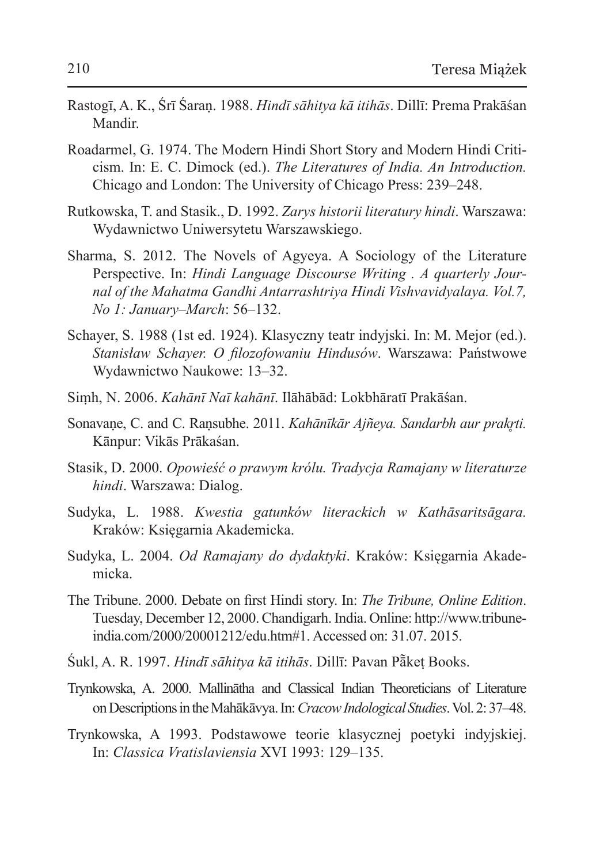- Rastogī, A. K., Śrī Śaraṇ. 1988. *Hindī sāhitya kā itihās*. Dillī: Prema Prakāśan Mandir.
- Roadarmel, G. 1974. The Modern Hindi Short Story and Modern Hindi Criticism. In: E. C. Dimock (ed.). *The Literatures of India. An Introduction.* Chicago and London: The University of Chicago Press: 239–248.
- Rutkowska, T. and Stasik., D. 1992. *Zarys historii literatury hindi*. Warszawa: Wydawnictwo Uniwersytetu Warszawskiego.
- Sharma, S. 2012. The Novels of Agyeya. A Sociology of the Literature Perspective. In: *Hindi Language Discourse Writing . A quarterly Journal of the Mahatma Gandhi Antarrashtriya Hindi Vishvavidyalaya. Vol.7, No 1: January–March*: 56–132.
- Schayer, S. 1988 (1st ed. 1924). Klasyczny teatr indyjski. In: M. Mejor (ed.). *Stanisław Schayer. O filozofowaniu Hindusów*. Warszawa: Państwowe Wydawnictwo Naukowe: 13–32.
- Siṃh, N. 2006. *Kahānī Naī kahānī*. Ilāhābād: Lokbhāratī Prakāśan.
- Sonavaṇe, C. and C. Raṇsubhe. 2011. *Kahānīkār Ajñeya. Sandarbh aur prakr̥ti.* Kānpur: Vikās Prākaśan.
- Stasik, D. 2000. *Opowieść o prawym królu. Tradycja Ramajany w literaturze hindi*. Warszawa: Dialog.
- Sudyka, L. 1988. *Kwestia gatunków literackich w Kathāsaritsāgara.* Kraków: Księgarnia Akademicka.
- Sudyka, L. 2004. *Od Ramajany do dydaktyki*. Kraków: Księgarnia Akademicka.
- The Tribune. 2000. Debate on first Hindi story. In: *The Tribune, Online Edition*. Tuesday, December 12, 2000. Chandigarh. India. Online: http://www.tribuneindia.com/2000/20001212/edu.htm#1. Accessed on: 31.07. 2015.
- Śukl, A. R. 1997. *Hindī sāhitya kā itihās*. Dillī: Pavan Pā͂keṭ Books.
- Trynkowska, A. 2000. Mallinātha and Classical Indian Theoreticians of Literature onDescriptions intheMahākāvya. In:*Cracow Indological Studies*. Vol.2:37–48.
- Trynkowska, A 1993. Podstawowe teorie klasycznej poetyki indyjskiej. In: *Classica Vratislaviensia* XVI 1993: 129–135.